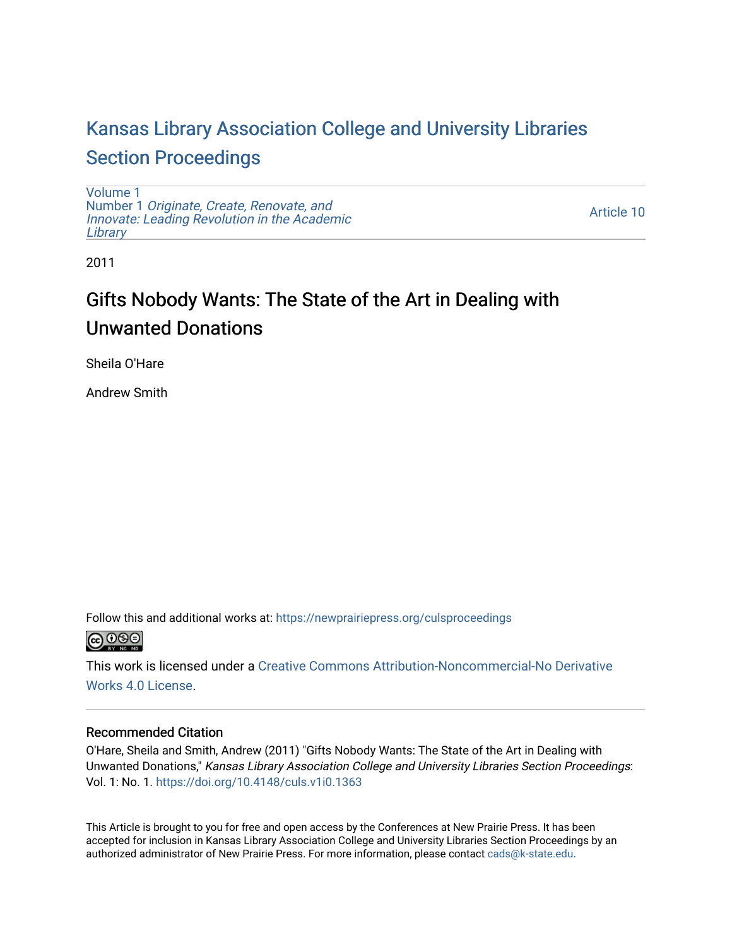# [Kansas Library Association College and University Libraries](https://newprairiepress.org/culsproceedings)  [Section Proceedings](https://newprairiepress.org/culsproceedings)

[Volume 1](https://newprairiepress.org/culsproceedings/vol1) Number 1 [Originate, Create, Renovate, and](https://newprairiepress.org/culsproceedings/vol1/iss1)  [Innovate: Leading Revolution in the Academic](https://newprairiepress.org/culsproceedings/vol1/iss1)  **[Library](https://newprairiepress.org/culsproceedings/vol1/iss1)** 

[Article 10](https://newprairiepress.org/culsproceedings/vol1/iss1/10) 

2011

# Gifts Nobody Wants: The State of the Art in Dealing with Unwanted Donations

Sheila O'Hare

Andrew Smith

Follow this and additional works at: [https://newprairiepress.org/culsproceedings](https://newprairiepress.org/culsproceedings?utm_source=newprairiepress.org%2Fculsproceedings%2Fvol1%2Fiss1%2F10&utm_medium=PDF&utm_campaign=PDFCoverPages)



This work is licensed under a [Creative Commons Attribution-Noncommercial-No Derivative](https://creativecommons.org/licenses/by-nc-nd/4.0/)  [Works 4.0 License](https://creativecommons.org/licenses/by-nc-nd/4.0/).

### Recommended Citation

O'Hare, Sheila and Smith, Andrew (2011) "Gifts Nobody Wants: The State of the Art in Dealing with Unwanted Donations," Kansas Library Association College and University Libraries Section Proceedings: Vol. 1: No. 1. <https://doi.org/10.4148/culs.v1i0.1363>

This Article is brought to you for free and open access by the Conferences at New Prairie Press. It has been accepted for inclusion in Kansas Library Association College and University Libraries Section Proceedings by an authorized administrator of New Prairie Press. For more information, please contact [cads@k-state.edu.](mailto:cads@k-state.edu)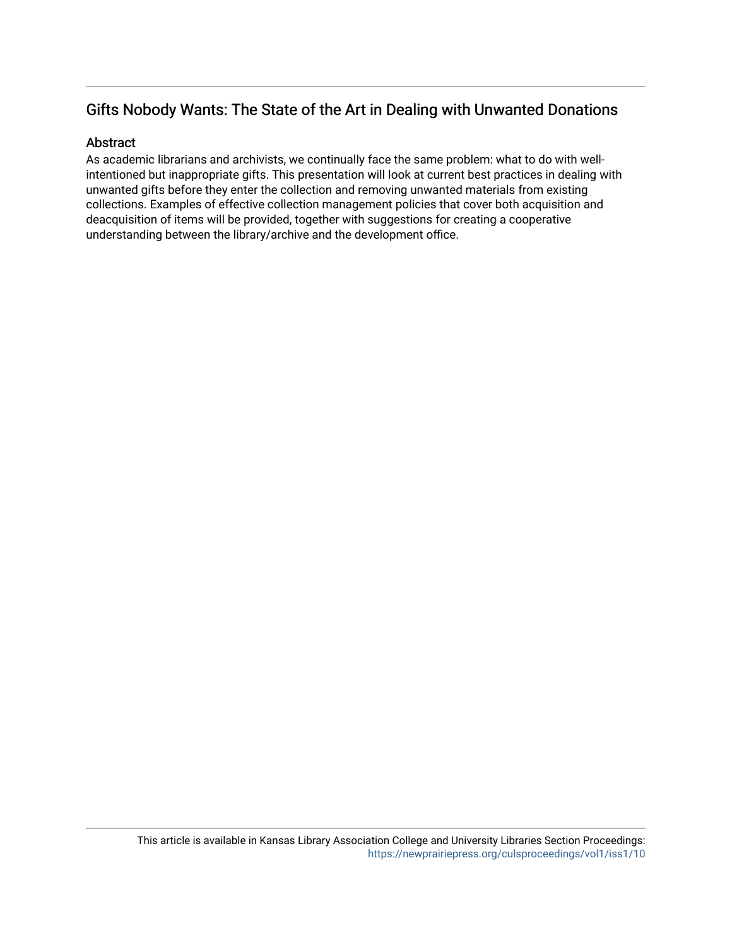# Gifts Nobody Wants: The State of the Art in Dealing with Unwanted Donations

## **Abstract**

As academic librarians and archivists, we continually face the same problem: what to do with wellintentioned but inappropriate gifts. This presentation will look at current best practices in dealing with unwanted gifts before they enter the collection and removing unwanted materials from existing collections. Examples of effective collection management policies that cover both acquisition and deacquisition of items will be provided, together with suggestions for creating a cooperative understanding between the library/archive and the development office.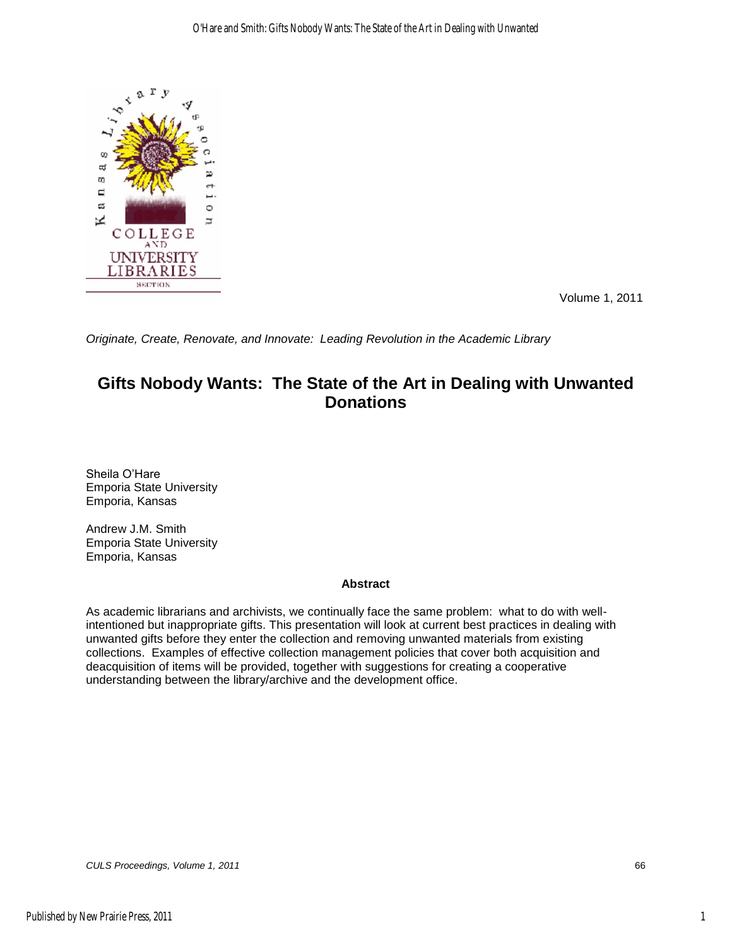

Volume 1, 2011

*Originate, Create, Renovate, and Innovate: Leading Revolution in the Academic Library* 

## **Gifts Nobody Wants: The State of the Art in Dealing with Unwanted Donations**

Sheila O'Hare Emporia State University Emporia, Kansas

Andrew J.M. Smith Emporia State University Emporia, Kansas

#### **Abstract**

As academic librarians and archivists, we continually face the same problem: what to do with wellintentioned but inappropriate gifts. This presentation will look at current best practices in dealing with unwanted gifts before they enter the collection and removing unwanted materials from existing collections. Examples of effective collection management policies that cover both acquisition and deacquisition of items will be provided, together with suggestions for creating a cooperative understanding between the library/archive and the development office.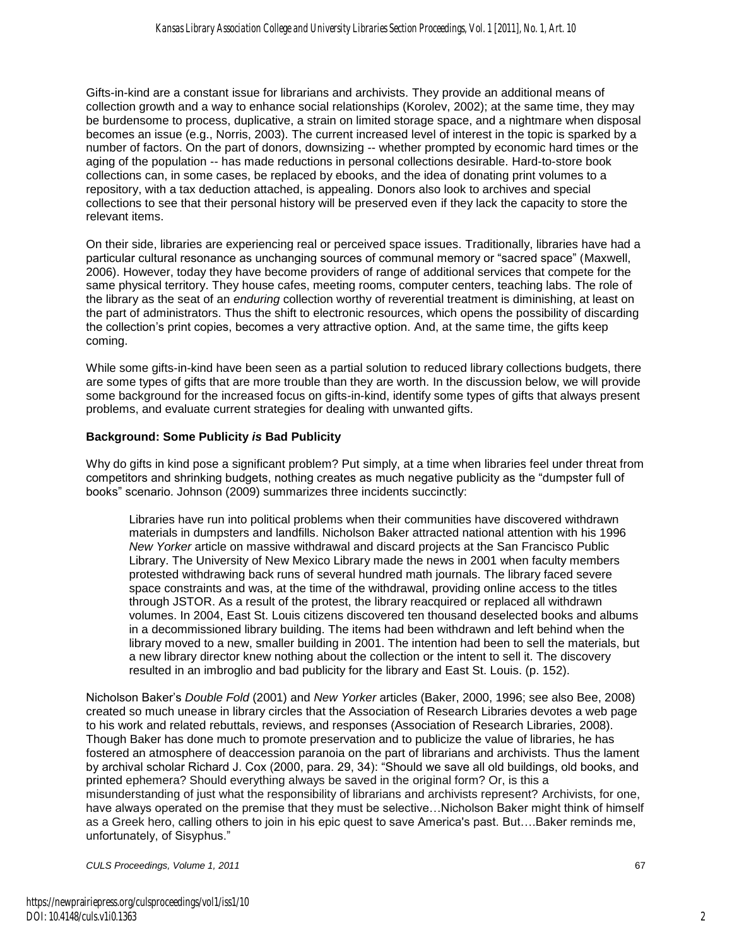Gifts-in-kind are a constant issue for librarians and archivists. They provide an additional means of collection growth and a way to enhance social relationships (Korolev, 2002); at the same time, they may be burdensome to process, duplicative, a strain on limited storage space, and a nightmare when disposal becomes an issue (e.g., Norris, 2003). The current increased level of interest in the topic is sparked by a number of factors. On the part of donors, downsizing -- whether prompted by economic hard times or the aging of the population -- has made reductions in personal collections desirable. Hard-to-store book collections can, in some cases, be replaced by ebooks, and the idea of donating print volumes to a repository, with a tax deduction attached, is appealing. Donors also look to archives and special collections to see that their personal history will be preserved even if they lack the capacity to store the relevant items.

On their side, libraries are experiencing real or perceived space issues. Traditionally, libraries have had a particular cultural resonance as unchanging sources of communal memory or "sacred space" (Maxwell, 2006). However, today they have become providers of range of additional services that compete for the same physical territory. They house cafes, meeting rooms, computer centers, teaching labs. The role of the library as the seat of an *enduring* collection worthy of reverential treatment is diminishing, at least on the part of administrators. Thus the shift to electronic resources, which opens the possibility of discarding the collection's print copies, becomes a very attractive option. And, at the same time, the gifts keep coming.

While some gifts-in-kind have been seen as a partial solution to reduced library collections budgets, there are some types of gifts that are more trouble than they are worth. In the discussion below, we will provide some background for the increased focus on gifts-in-kind, identify some types of gifts that always present problems, and evaluate current strategies for dealing with unwanted gifts.

#### **Background: Some Publicity** *is* **Bad Publicity**

Why do gifts in kind pose a significant problem? Put simply, at a time when libraries feel under threat from competitors and shrinking budgets, nothing creates as much negative publicity as the "dumpster full of books" scenario. Johnson (2009) summarizes three incidents succinctly:

Libraries have run into political problems when their communities have discovered withdrawn materials in dumpsters and landfills. Nicholson Baker attracted national attention with his 1996 *New Yorker* article on massive withdrawal and discard projects at the San Francisco Public Library. The University of New Mexico Library made the news in 2001 when faculty members protested withdrawing back runs of several hundred math journals. The library faced severe space constraints and was, at the time of the withdrawal, providing online access to the titles through JSTOR. As a result of the protest, the library reacquired or replaced all withdrawn volumes. In 2004, East St. Louis citizens discovered ten thousand deselected books and albums in a decommissioned library building. The items had been withdrawn and left behind when the library moved to a new, smaller building in 2001. The intention had been to sell the materials, but a new library director knew nothing about the collection or the intent to sell it. The discovery resulted in an imbroglio and bad publicity for the library and East St. Louis. (p. 152).

Nicholson Baker's *Double Fold* (2001) and *New Yorker* articles (Baker, 2000, 1996; see also Bee, 2008) created so much unease in library circles that the Association of Research Libraries devotes a web page to his work and related rebuttals, reviews, and responses (Association of Research Libraries, 2008). Though Baker has done much to promote preservation and to publicize the value of libraries, he has fostered an atmosphere of deaccession paranoia on the part of librarians and archivists. Thus the lament by archival scholar Richard J. Cox (2000, para. 29, 34): "Should we save all old buildings, old books, and printed ephemera? Should everything always be saved in the original form? Or, is this a misunderstanding of just what the responsibility of librarians and archivists represent? Archivists, for one, have always operated on the premise that they must be selective…Nicholson Baker might think of himself as a Greek hero, calling others to join in his epic quest to save America's past. But….Baker reminds me, unfortunately, of Sisyphus."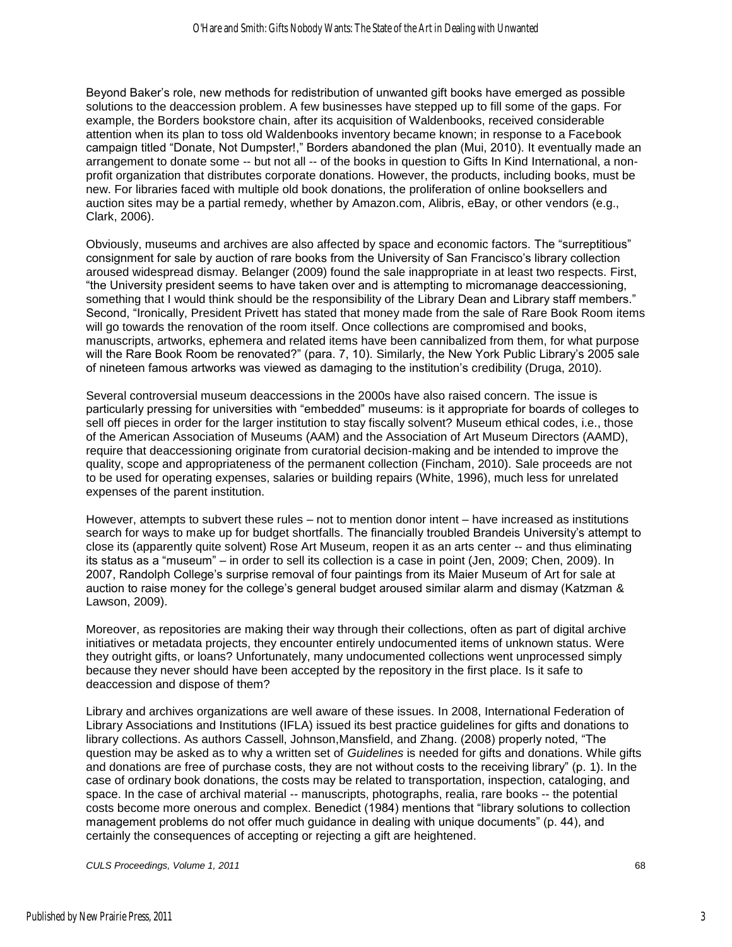Beyond Baker's role, new methods for redistribution of unwanted gift books have emerged as possible solutions to the deaccession problem. A few businesses have stepped up to fill some of the gaps. For example, the Borders bookstore chain, after its acquisition of Waldenbooks, received considerable attention when its plan to toss old Waldenbooks inventory became known; in response to a Facebook campaign titled "Donate, Not Dumpster!," Borders abandoned the plan (Mui, 2010). It eventually made an arrangement to donate some -- but not all -- of the books in question to Gifts In Kind International, a nonprofit organization that distributes corporate donations. However, the products, including books, must be new. For libraries faced with multiple old book donations, the proliferation of online booksellers and auction sites may be a partial remedy, whether by Amazon.com, Alibris, eBay, or other vendors (e.g., Clark, 2006).

Obviously, museums and archives are also affected by space and economic factors. The "surreptitious" consignment for sale by auction of rare books from the University of San Francisco's library collection aroused widespread dismay. Belanger (2009) found the sale inappropriate in at least two respects. First, ―the University president seems to have taken over and is attempting to micromanage deaccessioning, something that I would think should be the responsibility of the Library Dean and Library staff members." Second, "Ironically, President Privett has stated that money made from the sale of Rare Book Room items will go towards the renovation of the room itself. Once collections are compromised and books, manuscripts, artworks, ephemera and related items have been cannibalized from them, for what purpose will the Rare Book Room be renovated?" (para. 7, 10). Similarly, the New York Public Library's 2005 sale of nineteen famous artworks was viewed as damaging to the institution's credibility (Druga, 2010).

Several controversial museum deaccessions in the 2000s have also raised concern. The issue is particularly pressing for universities with "embedded" museums: is it appropriate for boards of colleges to sell off pieces in order for the larger institution to stay fiscally solvent? Museum ethical codes, i.e., those of the American Association of Museums (AAM) and the Association of Art Museum Directors (AAMD), require that deaccessioning originate from curatorial decision-making and be intended to improve the quality, scope and appropriateness of the permanent collection (Fincham, 2010). Sale proceeds are not to be used for operating expenses, salaries or building repairs (White, 1996), much less for unrelated expenses of the parent institution.

However, attempts to subvert these rules – not to mention donor intent – have increased as institutions search for ways to make up for budget shortfalls. The financially troubled Brandeis University's attempt to close its (apparently quite solvent) Rose Art Museum, reopen it as an arts center -- and thus eliminating its status as a "museum" – in order to sell its collection is a case in point (Jen, 2009; Chen, 2009). In 2007, Randolph College's surprise removal of four paintings from its Maier Museum of Art for sale at auction to raise money for the college's general budget aroused similar alarm and dismay (Katzman & Lawson, 2009).

Moreover, as repositories are making their way through their collections, often as part of digital archive initiatives or metadata projects, they encounter entirely undocumented items of unknown status. Were they outright gifts, or loans? Unfortunately, many undocumented collections went unprocessed simply because they never should have been accepted by the repository in the first place. Is it safe to deaccession and dispose of them?

Library and archives organizations are well aware of these issues. In 2008, International Federation of Library Associations and Institutions (IFLA) issued its best practice guidelines for gifts and donations to library collections. As authors Cassell, Johnson, Mansfield, and Zhang. (2008) properly noted, "The question may be asked as to why a written set of *Guidelines* is needed for gifts and donations. While gifts and donations are free of purchase costs, they are not without costs to the receiving library" (p. 1). In the case of ordinary book donations, the costs may be related to transportation, inspection, cataloging, and space. In the case of archival material -- manuscripts, photographs, realia, rare books -- the potential costs become more onerous and complex. Benedict (1984) mentions that "library solutions to collection management problems do not offer much guidance in dealing with unique documents" (p. 44), and certainly the consequences of accepting or rejecting a gift are heightened.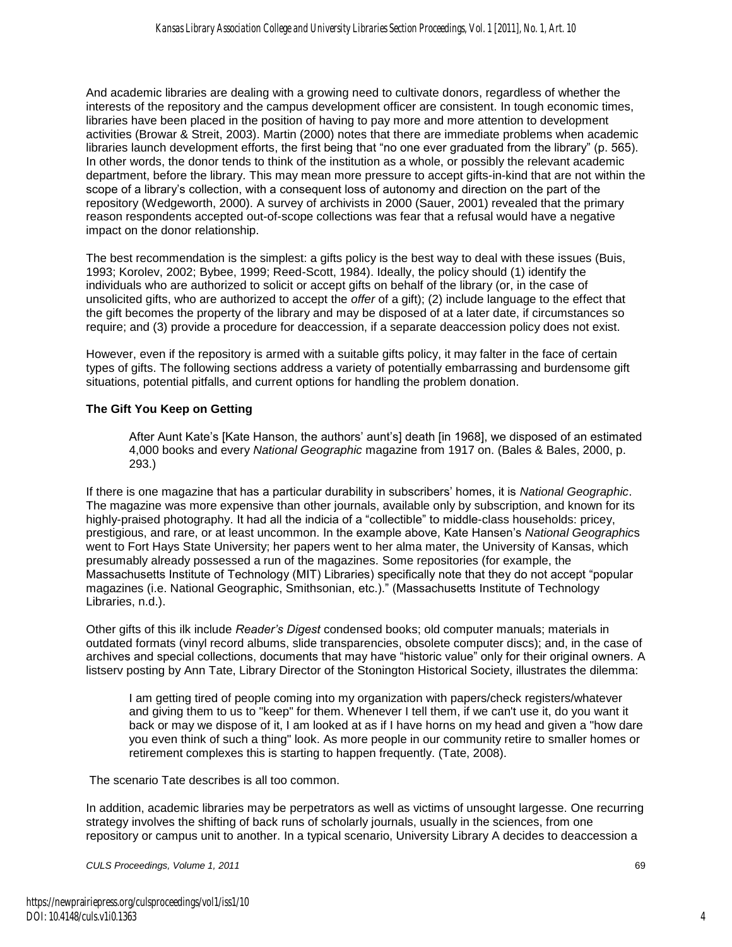And academic libraries are dealing with a growing need to cultivate donors, regardless of whether the interests of the repository and the campus development officer are consistent. In tough economic times, libraries have been placed in the position of having to pay more and more attention to development activities (Browar & Streit, 2003). Martin (2000) notes that there are immediate problems when academic libraries launch development efforts, the first being that "no one ever graduated from the library" (p. 565). In other words, the donor tends to think of the institution as a whole, or possibly the relevant academic department, before the library. This may mean more pressure to accept gifts-in-kind that are not within the scope of a library's collection, with a consequent loss of autonomy and direction on the part of the repository (Wedgeworth, 2000). A survey of archivists in 2000 (Sauer, 2001) revealed that the primary reason respondents accepted out-of-scope collections was fear that a refusal would have a negative impact on the donor relationship.

The best recommendation is the simplest: a gifts policy is the best way to deal with these issues (Buis, 1993; Korolev, 2002; Bybee, 1999; Reed-Scott, 1984). Ideally, the policy should (1) identify the individuals who are authorized to solicit or accept gifts on behalf of the library (or, in the case of unsolicited gifts, who are authorized to accept the *offer* of a gift); (2) include language to the effect that the gift becomes the property of the library and may be disposed of at a later date, if circumstances so require; and (3) provide a procedure for deaccession, if a separate deaccession policy does not exist.

However, even if the repository is armed with a suitable gifts policy, it may falter in the face of certain types of gifts. The following sections address a variety of potentially embarrassing and burdensome gift situations, potential pitfalls, and current options for handling the problem donation.

#### **The Gift You Keep on Getting**

After Aunt Kate's [Kate Hanson, the authors' aunt's] death [in 1968], we disposed of an estimated 4,000 books and every *National Geographic* magazine from 1917 on. (Bales & Bales, 2000, p. 293.)

If there is one magazine that has a particular durability in subscribers' homes, it is *National Geographic*. The magazine was more expensive than other journals, available only by subscription, and known for its highly-praised photography. It had all the indicia of a "collectible" to middle-class households: pricey, prestigious, and rare, or at least uncommon. In the example above, Kate Hansen's *National Geographic*s went to Fort Hays State University; her papers went to her alma mater, the University of Kansas, which presumably already possessed a run of the magazines. Some repositories (for example, the Massachusetts Institute of Technology (MIT) Libraries) specifically note that they do not accept "popular magazines (i.e. National Geographic, Smithsonian, etc.)." (Massachusetts Institute of Technology Libraries, n.d.).

Other gifts of this ilk include *Reader's Digest* condensed books; old computer manuals; materials in outdated formats (vinyl record albums, slide transparencies, obsolete computer discs); and, in the case of archives and special collections, documents that may have "historic value" only for their original owners. A listserv posting by Ann Tate, Library Director of the Stonington Historical Society, illustrates the dilemma:

I am getting tired of people coming into my organization with papers/check registers/whatever and giving them to us to "keep" for them. Whenever I tell them, if we can't use it, do you want it back or may we dispose of it, I am looked at as if I have horns on my head and given a "how dare you even think of such a thing" look. As more people in our community retire to smaller homes or retirement complexes this is starting to happen frequently. (Tate, 2008).

The scenario Tate describes is all too common.

In addition, academic libraries may be perpetrators as well as victims of unsought largesse. One recurring strategy involves the shifting of back runs of scholarly journals, usually in the sciences, from one repository or campus unit to another. In a typical scenario, University Library A decides to deaccession a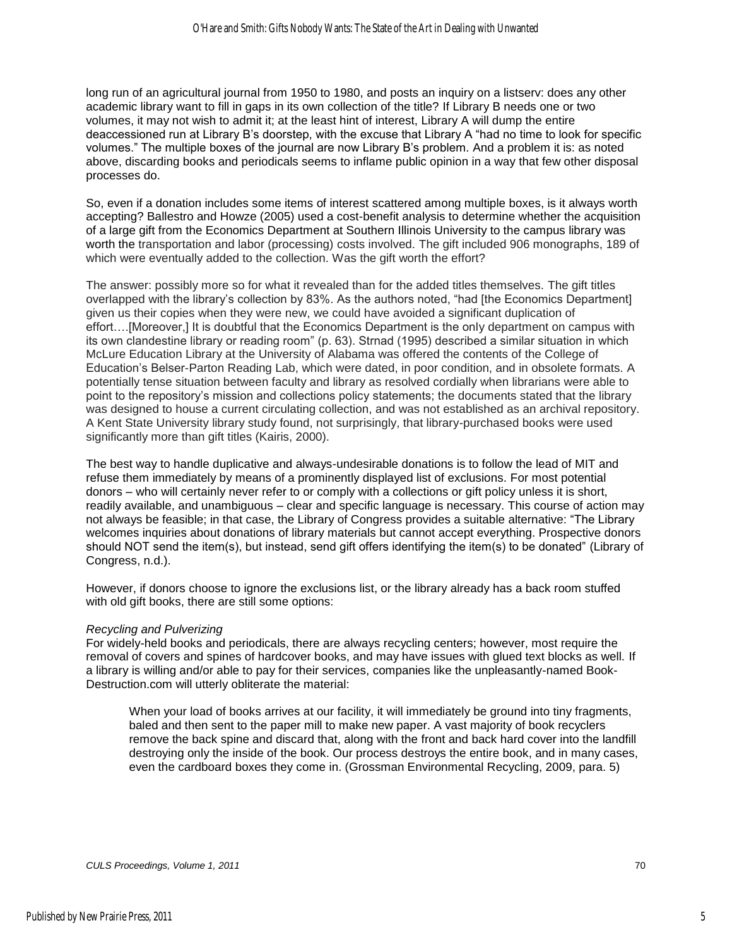long run of an agricultural journal from 1950 to 1980, and posts an inquiry on a listserv: does any other academic library want to fill in gaps in its own collection of the title? If Library B needs one or two volumes, it may not wish to admit it; at the least hint of interest, Library A will dump the entire deaccessioned run at Library B's doorstep, with the excuse that Library A "had no time to look for specific volumes.‖ The multiple boxes of the journal are now Library B's problem. And a problem it is: as noted above, discarding books and periodicals seems to inflame public opinion in a way that few other disposal processes do.

So, even if a donation includes some items of interest scattered among multiple boxes, is it always worth accepting? Ballestro and Howze (2005) used a cost-benefit analysis to determine whether the acquisition of a large gift from the Economics Department at Southern Illinois University to the campus library was worth the transportation and labor (processing) costs involved. The gift included 906 monographs, 189 of which were eventually added to the collection. Was the gift worth the effort?

The answer: possibly more so for what it revealed than for the added titles themselves. The gift titles overlapped with the library's collection by 83%. As the authors noted, "had [the Economics Department] given us their copies when they were new, we could have avoided a significant duplication of effort….[Moreover,] It is doubtful that the Economics Department is the only department on campus with its own clandestine library or reading room" (p. 63). Strnad (1995) described a similar situation in which McLure Education Library at the University of Alabama was offered the contents of the College of Education's Belser-Parton Reading Lab, which were dated, in poor condition, and in obsolete formats. A potentially tense situation between faculty and library as resolved cordially when librarians were able to point to the repository's mission and collections policy statements; the documents stated that the library was designed to house a current circulating collection, and was not established as an archival repository. A Kent State University library study found, not surprisingly, that library-purchased books were used significantly more than gift titles (Kairis, 2000).

The best way to handle duplicative and always-undesirable donations is to follow the lead of MIT and refuse them immediately by means of a prominently displayed list of exclusions. For most potential donors – who will certainly never refer to or comply with a collections or gift policy unless it is short, readily available, and unambiguous – clear and specific language is necessary. This course of action may not always be feasible; in that case, the Library of Congress provides a suitable alternative: "The Library welcomes inquiries about donations of library materials but cannot accept everything. Prospective donors should NOT send the item(s), but instead, send gift offers identifying the item(s) to be donated" (Library of Congress, n.d.).

However, if donors choose to ignore the exclusions list, or the library already has a back room stuffed with old gift books, there are still some options:

#### *Recycling and Pulverizing*

For widely-held books and periodicals, there are always recycling centers; however, most require the removal of covers and spines of hardcover books, and may have issues with glued text blocks as well. If a library is willing and/or able to pay for their services, companies like the unpleasantly-named Book-Destruction.com will utterly obliterate the material:

When your load of books arrives at our facility, it will immediately be ground into tiny fragments, baled and then sent to the paper mill to make new paper. A vast majority of book recyclers remove the back spine and discard that, along with the front and back hard cover into the landfill destroying only the inside of the book. Our process destroys the entire book, and in many cases, even the cardboard boxes they come in. (Grossman Environmental Recycling, 2009, para. 5)

5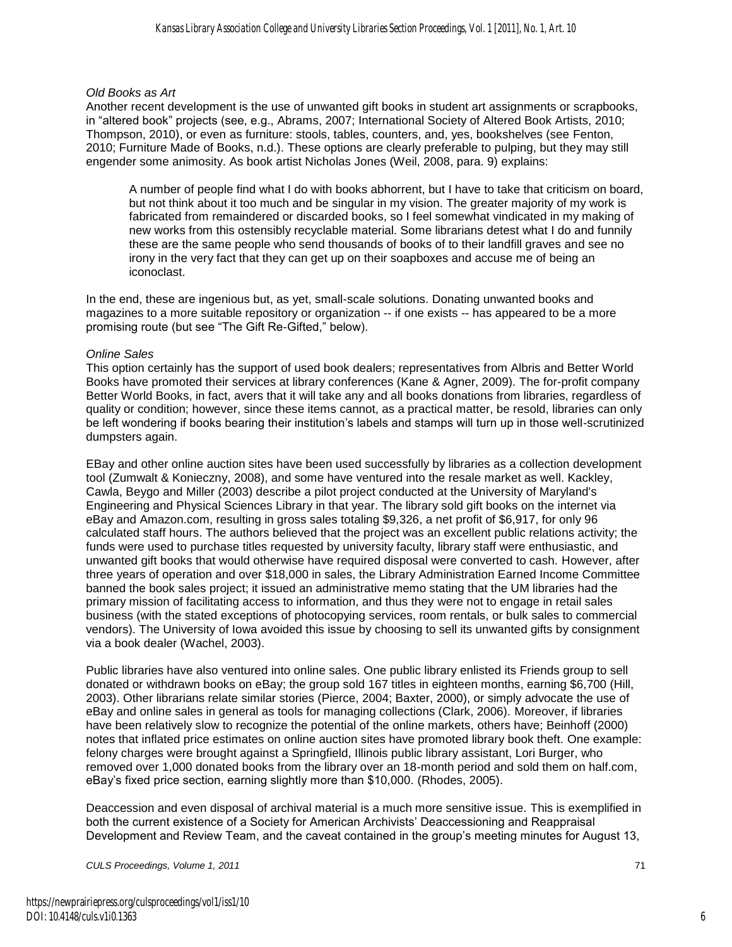#### *Old Books as Art*

Another recent development is the use of unwanted gift books in student art assignments or scrapbooks, in "altered book" projects (see, e.g., Abrams, 2007; International Society of Altered Book Artists, 2010; Thompson, 2010), or even as furniture: stools, tables, counters, and, yes, bookshelves (see Fenton, 2010; Furniture Made of Books, n.d.). These options are clearly preferable to pulping, but they may still engender some animosity. As book artist Nicholas Jones (Weil, 2008, para. 9) explains:

A number of people find what I do with books abhorrent, but I have to take that criticism on board, but not think about it too much and be singular in my vision. The greater majority of my work is fabricated from remaindered or discarded books, so I feel somewhat vindicated in my making of new works from this ostensibly recyclable material. Some librarians detest what I do and funnily these are the same people who send thousands of books of to their landfill graves and see no irony in the very fact that they can get up on their soapboxes and accuse me of being an iconoclast.

In the end, these are ingenious but, as yet, small-scale solutions. Donating unwanted books and magazines to a more suitable repository or organization -- if one exists -- has appeared to be a more promising route (but see "The Gift Re-Gifted," below).

#### *Online Sales*

This option certainly has the support of used book dealers; representatives from Albris and Better World Books have promoted their services at library conferences (Kane & Agner, 2009). The for-profit company Better World Books, in fact, avers that it will take any and all books donations from libraries, regardless of quality or condition; however, since these items cannot, as a practical matter, be resold, libraries can only be left wondering if books bearing their institution's labels and stamps will turn up in those well-scrutinized dumpsters again.

EBay and other online auction sites have been used successfully by libraries as a collection development tool (Zumwalt & Konieczny, 2008), and some have ventured into the resale market as well. Kackley, Cawla, Beygo and Miller (2003) describe a pilot project conducted at the University of Maryland's Engineering and Physical Sciences Library in that year. The library sold gift books on the internet via eBay and Amazon.com, resulting in gross sales totaling \$9,326, a net profit of \$6,917, for only 96 calculated staff hours. The authors believed that the project was an excellent public relations activity; the funds were used to purchase titles requested by university faculty, library staff were enthusiastic, and unwanted gift books that would otherwise have required disposal were converted to cash. However, after three years of operation and over \$18,000 in sales, the Library Administration Earned Income Committee banned the book sales project; it issued an administrative memo stating that the UM libraries had the primary mission of facilitating access to information, and thus they were not to engage in retail sales business (with the stated exceptions of photocopying services, room rentals, or bulk sales to commercial vendors). The University of Iowa avoided this issue by choosing to sell its unwanted gifts by consignment via a book dealer (Wachel, 2003).

Public libraries have also ventured into online sales. One public library enlisted its Friends group to sell donated or withdrawn books on eBay; the group sold 167 titles in eighteen months, earning \$6,700 (Hill, 2003). Other librarians relate similar stories (Pierce, 2004; Baxter, 2000), or simply advocate the use of eBay and online sales in general as tools for managing collections (Clark, 2006). Moreover, if libraries have been relatively slow to recognize the potential of the online markets, others have; Beinhoff (2000) notes that inflated price estimates on online auction sites have promoted library book theft. One example: felony charges were brought against a Springfield, Illinois public library assistant, Lori Burger, who removed over 1,000 donated books from the library over an 18-month period and sold them on half.com, eBay's fixed price section, earning slightly more than \$10,000. (Rhodes, 2005).

Deaccession and even disposal of archival material is a much more sensitive issue. This is exemplified in both the current existence of a Society for American Archivists' Deaccessioning and Reappraisal Development and Review Team, and the caveat contained in the group's meeting minutes for August 13,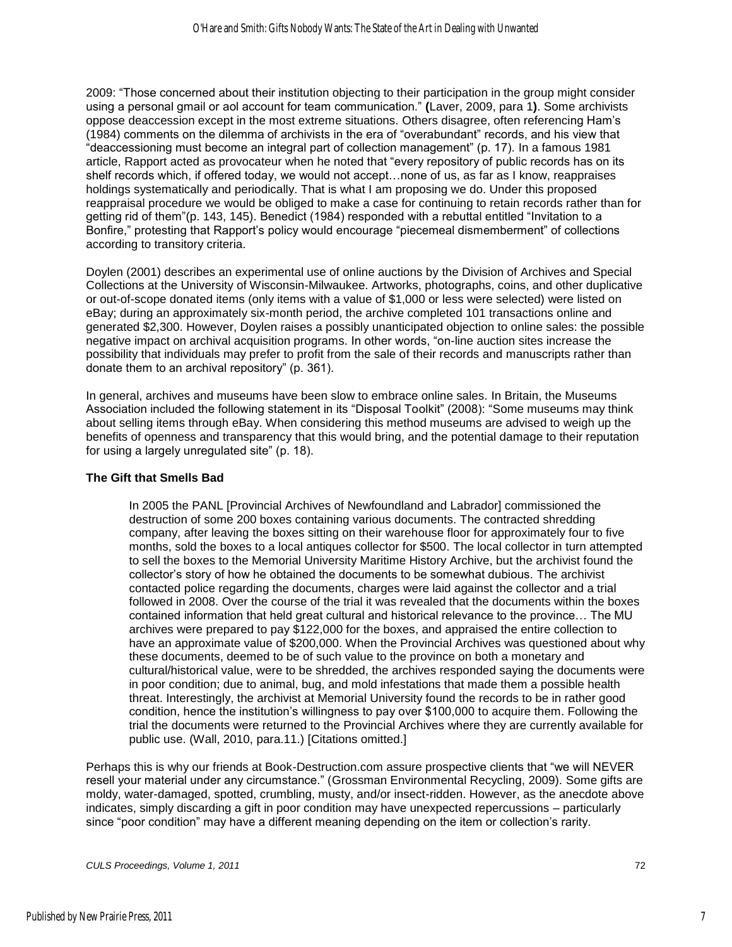2009: "Those concerned about their institution objecting to their participation in the group might consider using a personal gmail or aol account for team communication.‖ **(**Laver, 2009, para 1**)**. Some archivists oppose deaccession except in the most extreme situations. Others disagree, often referencing Ham's (1984) comments on the dilemma of archivists in the era of "overabundant" records, and his view that ―deaccessioning must become an integral part of collection management‖ (p. 17). In a famous 1981 article, Rapport acted as provocateur when he noted that "every repository of public records has on its shelf records which, if offered today, we would not accept…none of us, as far as I know, reappraises holdings systematically and periodically. That is what I am proposing we do. Under this proposed reappraisal procedure we would be obliged to make a case for continuing to retain records rather than for getting rid of them"(p. 143, 145). Benedict (1984) responded with a rebuttal entitled "Invitation to a Bonfire," protesting that Rapport's policy would encourage "piecemeal dismemberment" of collections according to transitory criteria.

Doylen (2001) describes an experimental use of online auctions by the Division of Archives and Special Collections at the University of Wisconsin-Milwaukee. Artworks, photographs, coins, and other duplicative or out-of-scope donated items (only items with a value of \$1,000 or less were selected) were listed on eBay; during an approximately six-month period, the archive completed 101 transactions online and generated \$2,300. However, Doylen raises a possibly unanticipated objection to online sales: the possible negative impact on archival acquisition programs. In other words, "on-line auction sites increase the possibility that individuals may prefer to profit from the sale of their records and manuscripts rather than donate them to an archival repository" (p. 361).

In general, archives and museums have been slow to embrace online sales. In Britain, the Museums Association included the following statement in its "Disposal Toolkit" (2008): "Some museums may think about selling items through eBay. When considering this method museums are advised to weigh up the benefits of openness and transparency that this would bring, and the potential damage to their reputation for using a largely unregulated site" (p. 18).

#### **The Gift that Smells Bad**

In 2005 the PANL [Provincial Archives of Newfoundland and Labrador] commissioned the destruction of some 200 boxes containing various documents. The contracted shredding company, after leaving the boxes sitting on their warehouse floor for approximately four to five months, sold the boxes to a local antiques collector for \$500. The local collector in turn attempted to sell the boxes to the Memorial University Maritime History Archive, but the archivist found the collector's story of how he obtained the documents to be somewhat dubious. The archivist contacted police regarding the documents, charges were laid against the collector and a trial followed in 2008. Over the course of the trial it was revealed that the documents within the boxes contained information that held great cultural and historical relevance to the province… The MU archives were prepared to pay \$122,000 for the boxes, and appraised the entire collection to have an approximate value of \$200,000. When the Provincial Archives was questioned about why these documents, deemed to be of such value to the province on both a monetary and cultural/historical value, were to be shredded, the archives responded saying the documents were in poor condition; due to animal, bug, and mold infestations that made them a possible health threat. Interestingly, the archivist at Memorial University found the records to be in rather good condition, hence the institution's willingness to pay over \$100,000 to acquire them. Following the trial the documents were returned to the Provincial Archives where they are currently available for public use. (Wall, 2010, para.11.) [Citations omitted.]

Perhaps this is why our friends at Book-Destruction.com assure prospective clients that "we will NEVER resell your material under any circumstance." (Grossman Environmental Recycling, 2009). Some gifts are moldy, water-damaged, spotted, crumbling, musty, and/or insect-ridden. However, as the anecdote above indicates, simply discarding a gift in poor condition may have unexpected repercussions – particularly since "poor condition" may have a different meaning depending on the item or collection's rarity.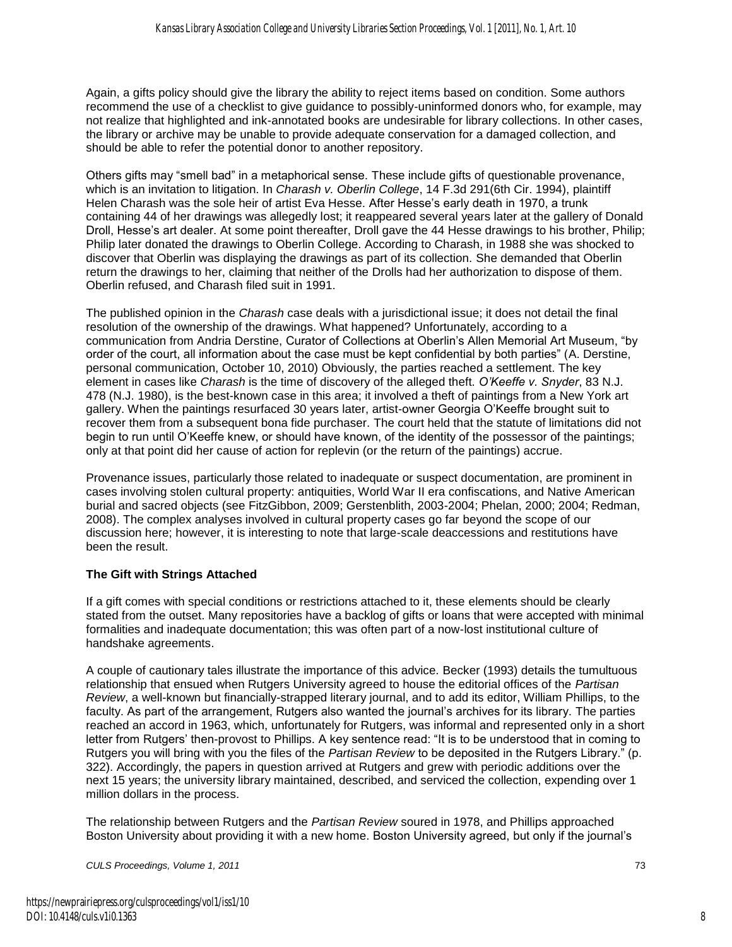Again, a gifts policy should give the library the ability to reject items based on condition. Some authors recommend the use of a checklist to give guidance to possibly-uninformed donors who, for example, may not realize that highlighted and ink-annotated books are undesirable for library collections. In other cases, the library or archive may be unable to provide adequate conservation for a damaged collection, and should be able to refer the potential donor to another repository.

Others gifts may "smell bad" in a metaphorical sense. These include gifts of questionable provenance, which is an invitation to litigation. In *Charash v. Oberlin College*, 14 F.3d 291(6th Cir. 1994), plaintiff Helen Charash was the sole heir of artist Eva Hesse. After Hesse's early death in 1970, a trunk containing 44 of her drawings was allegedly lost; it reappeared several years later at the gallery of Donald Droll, Hesse's art dealer. At some point thereafter, Droll gave the 44 Hesse drawings to his brother, Philip; Philip later donated the drawings to Oberlin College. According to Charash, in 1988 she was shocked to discover that Oberlin was displaying the drawings as part of its collection. She demanded that Oberlin return the drawings to her, claiming that neither of the Drolls had her authorization to dispose of them. Oberlin refused, and Charash filed suit in 1991.

The published opinion in the *Charash* case deals with a jurisdictional issue; it does not detail the final resolution of the ownership of the drawings. What happened? Unfortunately, according to a communication from Andria Derstine, Curator of Collections at Oberlin's Allen Memorial Art Museum, "by order of the court, all information about the case must be kept confidential by both parties" (A. Derstine, personal communication, October 10, 2010) Obviously, the parties reached a settlement. The key element in cases like *Charash* is the time of discovery of the alleged theft. *O'Keeffe v. Snyder*, 83 N.J. 478 (N.J. 1980), is the best-known case in this area; it involved a theft of paintings from a New York art gallery. When the paintings resurfaced 30 years later, artist-owner Georgia O'Keeffe brought suit to recover them from a subsequent bona fide purchaser. The court held that the statute of limitations did not begin to run until O'Keeffe knew, or should have known, of the identity of the possessor of the paintings; only at that point did her cause of action for replevin (or the return of the paintings) accrue.

Provenance issues, particularly those related to inadequate or suspect documentation, are prominent in cases involving stolen cultural property: antiquities, World War II era confiscations, and Native American burial and sacred objects (see FitzGibbon, 2009; Gerstenblith, 2003-2004; Phelan, 2000; 2004; Redman, 2008). The complex analyses involved in cultural property cases go far beyond the scope of our discussion here; however, it is interesting to note that large-scale deaccessions and restitutions have been the result.

#### **The Gift with Strings Attached**

If a gift comes with special conditions or restrictions attached to it, these elements should be clearly stated from the outset. Many repositories have a backlog of gifts or loans that were accepted with minimal formalities and inadequate documentation; this was often part of a now-lost institutional culture of handshake agreements.

A couple of cautionary tales illustrate the importance of this advice. Becker (1993) details the tumultuous relationship that ensued when Rutgers University agreed to house the editorial offices of the *Partisan Review*, a well-known but financially-strapped literary journal, and to add its editor, William Phillips, to the faculty. As part of the arrangement, Rutgers also wanted the journal's archives for its library. The parties reached an accord in 1963, which, unfortunately for Rutgers, was informal and represented only in a short letter from Rutgers' then-provost to Phillips. A key sentence read: "It is to be understood that in coming to Rutgers you will bring with you the files of the *Partisan Review* to be deposited in the Rutgers Library." (p. 322). Accordingly, the papers in question arrived at Rutgers and grew with periodic additions over the next 15 years; the university library maintained, described, and serviced the collection, expending over 1 million dollars in the process.

The relationship between Rutgers and the *Partisan Review* soured in 1978, and Phillips approached Boston University about providing it with a new home. Boston University agreed, but only if the journal's

8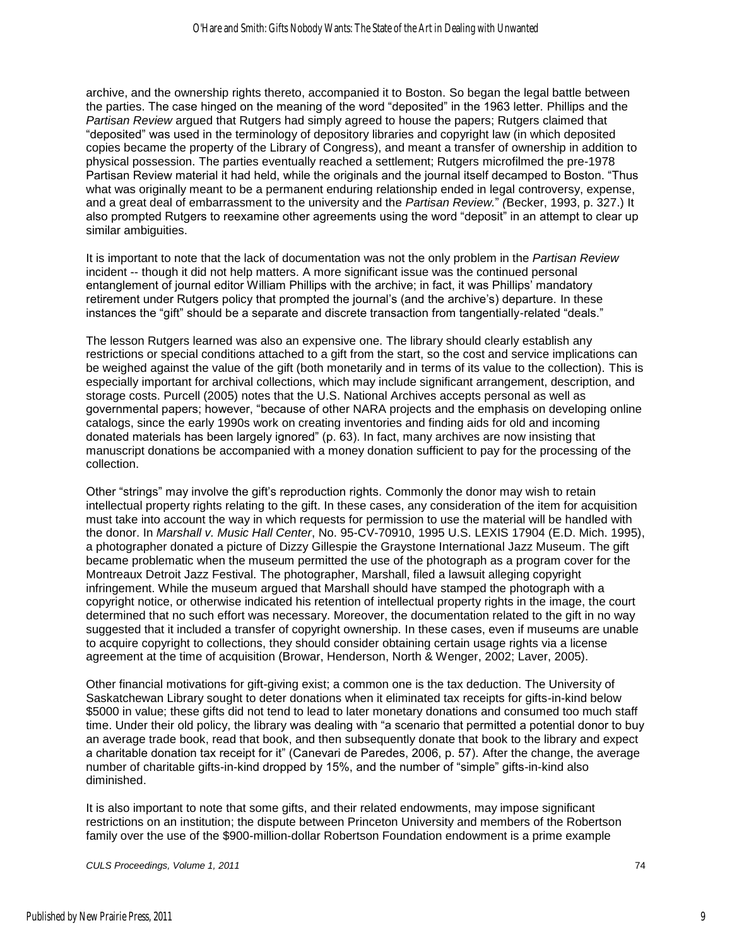archive, and the ownership rights thereto, accompanied it to Boston. So began the legal battle between the parties. The case hinged on the meaning of the word "deposited" in the 1963 letter. Phillips and the *Partisan Review* argued that Rutgers had simply agreed to house the papers; Rutgers claimed that ―deposited‖ was used in the terminology of depository libraries and copyright law (in which deposited copies became the property of the Library of Congress), and meant a transfer of ownership in addition to physical possession. The parties eventually reached a settlement; Rutgers microfilmed the pre-1978 Partisan Review material it had held, while the originals and the journal itself decamped to Boston. "Thus what was originally meant to be a permanent enduring relationship ended in legal controversy, expense, and a great deal of embarrassment to the university and the *Partisan Review.*‖ *(*Becker, 1993, p. 327.) It also prompted Rutgers to reexamine other agreements using the word "deposit" in an attempt to clear up similar ambiguities.

It is important to note that the lack of documentation was not the only problem in the *Partisan Review* incident -- though it did not help matters. A more significant issue was the continued personal entanglement of journal editor William Phillips with the archive; in fact, it was Phillips' mandatory retirement under Rutgers policy that prompted the journal's (and the archive's) departure. In these instances the "gift" should be a separate and discrete transaction from tangentially-related "deals."

The lesson Rutgers learned was also an expensive one. The library should clearly establish any restrictions or special conditions attached to a gift from the start, so the cost and service implications can be weighed against the value of the gift (both monetarily and in terms of its value to the collection). This is especially important for archival collections, which may include significant arrangement, description, and storage costs. Purcell (2005) notes that the U.S. National Archives accepts personal as well as governmental papers; however, "because of other NARA projects and the emphasis on developing online catalogs, since the early 1990s work on creating inventories and finding aids for old and incoming donated materials has been largely ignored" (p. 63). In fact, many archives are now insisting that manuscript donations be accompanied with a money donation sufficient to pay for the processing of the collection.

Other "strings" may involve the gift's reproduction rights. Commonly the donor may wish to retain intellectual property rights relating to the gift. In these cases, any consideration of the item for acquisition must take into account the way in which requests for permission to use the material will be handled with the donor. In *Marshall v. Music Hall Center*, No. 95-CV-70910, 1995 U.S. LEXIS 17904 (E.D. Mich. 1995), a photographer donated a picture of Dizzy Gillespie the Graystone International Jazz Museum. The gift became problematic when the museum permitted the use of the photograph as a program cover for the Montreaux Detroit Jazz Festival. The photographer, Marshall, filed a lawsuit alleging copyright infringement. While the museum argued that Marshall should have stamped the photograph with a copyright notice, or otherwise indicated his retention of intellectual property rights in the image, the court determined that no such effort was necessary. Moreover, the documentation related to the gift in no way suggested that it included a transfer of copyright ownership. In these cases, even if museums are unable to acquire copyright to collections, they should consider obtaining certain usage rights via a license agreement at the time of acquisition (Browar, Henderson, North & Wenger, 2002; Laver, 2005).

Other financial motivations for gift-giving exist; a common one is the tax deduction. The University of Saskatchewan Library sought to deter donations when it eliminated tax receipts for gifts-in-kind below \$5000 in value; these gifts did not tend to lead to later monetary donations and consumed too much staff time. Under their old policy, the library was dealing with "a scenario that permitted a potential donor to buy an average trade book, read that book, and then subsequently donate that book to the library and expect a charitable donation tax receipt for it" (Canevari de Paredes, 2006, p. 57). After the change, the average number of charitable gifts-in-kind dropped by 15%, and the number of "simple" gifts-in-kind also diminished.

It is also important to note that some gifts, and their related endowments, may impose significant restrictions on an institution; the dispute between Princeton University and members of the Robertson family over the use of the \$900-million-dollar Robertson Foundation endowment is a prime example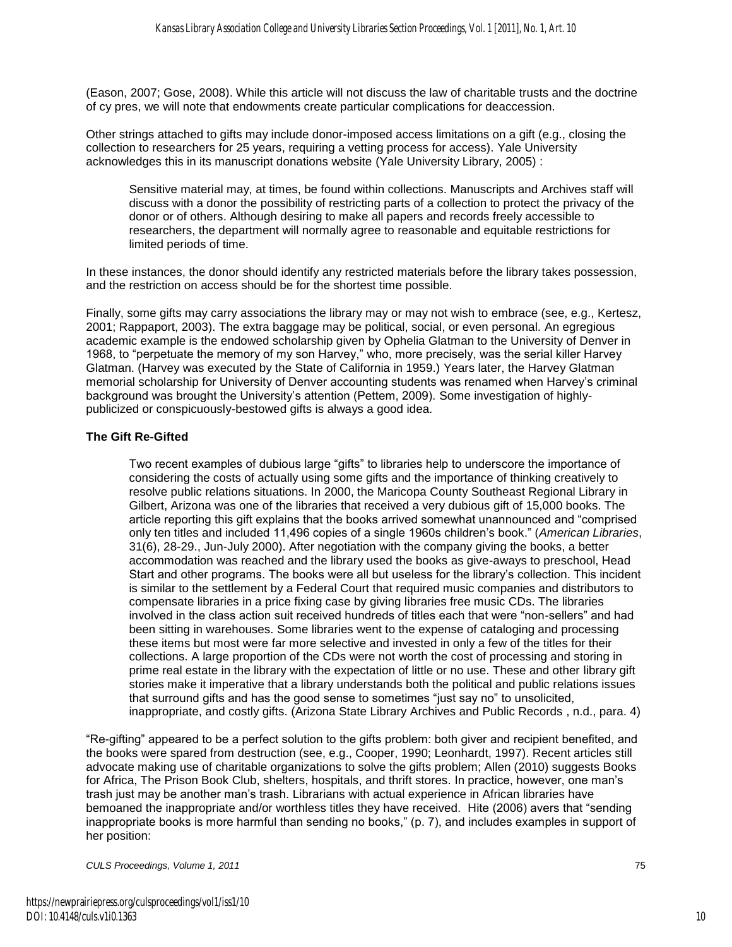(Eason, 2007; Gose, 2008). While this article will not discuss the law of charitable trusts and the doctrine of cy pres, we will note that endowments create particular complications for deaccession.

Other strings attached to gifts may include donor-imposed access limitations on a gift (e.g., closing the collection to researchers for 25 years, requiring a vetting process for access). Yale University acknowledges this in its manuscript donations website (Yale University Library, 2005) :

Sensitive material may, at times, be found within collections. Manuscripts and Archives staff will discuss with a donor the possibility of restricting parts of a collection to protect the privacy of the donor or of others. Although desiring to make all papers and records freely accessible to researchers, the department will normally agree to reasonable and equitable restrictions for limited periods of time.

In these instances, the donor should identify any restricted materials before the library takes possession, and the restriction on access should be for the shortest time possible.

Finally, some gifts may carry associations the library may or may not wish to embrace (see, e.g., Kertesz, 2001; Rappaport, 2003). The extra baggage may be political, social, or even personal. An egregious academic example is the endowed scholarship given by Ophelia Glatman to the University of Denver in 1968, to "perpetuate the memory of my son Harvey," who, more precisely, was the serial killer Harvey Glatman. (Harvey was executed by the State of California in 1959.) Years later, the Harvey Glatman memorial scholarship for University of Denver accounting students was renamed when Harvey's criminal background was brought the University's attention (Pettem, 2009). Some investigation of highlypublicized or conspicuously-bestowed gifts is always a good idea.

#### **The Gift Re-Gifted**

Two recent examples of dubious large "gifts" to libraries help to underscore the importance of considering the costs of actually using some gifts and the importance of thinking creatively to resolve public relations situations. In 2000, the Maricopa County Southeast Regional Library in Gilbert, Arizona was one of the libraries that received a very dubious gift of 15,000 books. The article reporting this gift explains that the books arrived somewhat unannounced and "comprised only ten titles and included 11,496 copies of a single 1960s children's book.‖ (*American Libraries*, 31(6), 28-29., Jun-July 2000). After negotiation with the company giving the books, a better accommodation was reached and the library used the books as give-aways to preschool, Head Start and other programs. The books were all but useless for the library's collection. This incident is similar to the settlement by a Federal Court that required music companies and distributors to compensate libraries in a price fixing case by giving libraries free music CDs. The libraries involved in the class action suit received hundreds of titles each that were "non-sellers" and had been sitting in warehouses. Some libraries went to the expense of cataloging and processing these items but most were far more selective and invested in only a few of the titles for their collections. A large proportion of the CDs were not worth the cost of processing and storing in prime real estate in the library with the expectation of little or no use. These and other library gift stories make it imperative that a library understands both the political and public relations issues that surround gifts and has the good sense to sometimes "just say no" to unsolicited, inappropriate, and costly gifts. (Arizona State Library Archives and Public Records , n.d., para. 4)

―Re-gifting‖ appeared to be a perfect solution to the gifts problem: both giver and recipient benefited, and the books were spared from destruction (see, e.g., Cooper, 1990; Leonhardt, 1997). Recent articles still advocate making use of charitable organizations to solve the gifts problem; Allen (2010) suggests Books for Africa, The Prison Book Club, shelters, hospitals, and thrift stores. In practice, however, one man's trash just may be another man's trash. Librarians with actual experience in African libraries have bemoaned the inappropriate and/or worthless titles they have received. Hite (2006) avers that "sending inappropriate books is more harmful than sending no books," (p. 7), and includes examples in support of her position: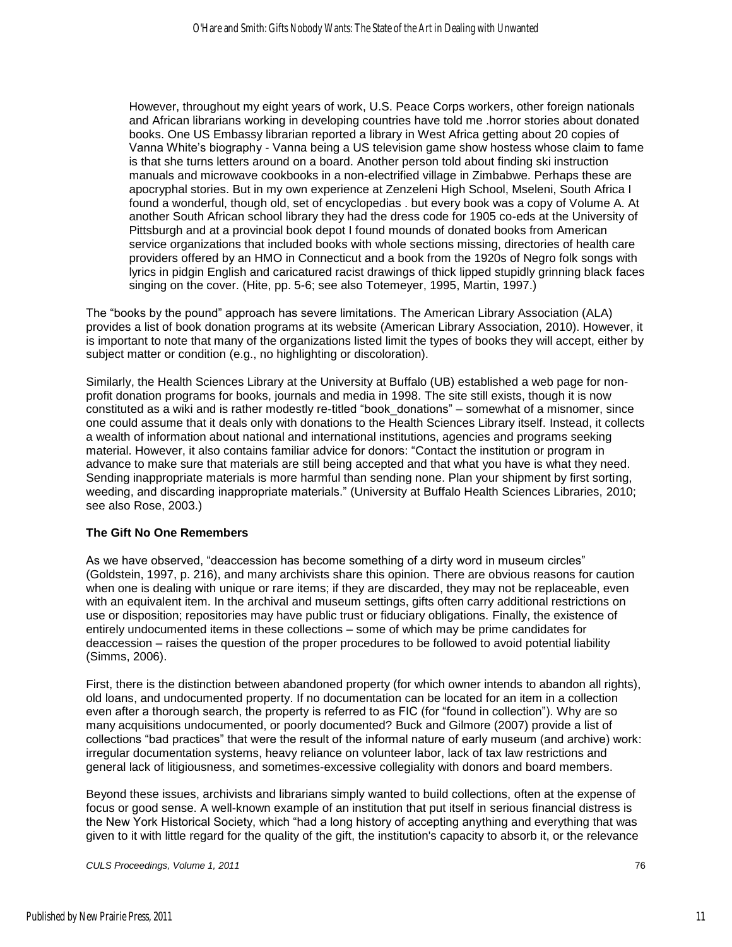However, throughout my eight years of work, U.S. Peace Corps workers, other foreign nationals and African librarians working in developing countries have told me .horror stories about donated books. One US Embassy librarian reported a library in West Africa getting about 20 copies of Vanna White's biography - Vanna being a US television game show hostess whose claim to fame is that she turns letters around on a board. Another person told about finding ski instruction manuals and microwave cookbooks in a non-electrified village in Zimbabwe. Perhaps these are apocryphal stories. But in my own experience at Zenzeleni High School, Mseleni, South Africa I found a wonderful, though old, set of encyclopedias . but every book was a copy of Volume A. At another South African school library they had the dress code for 1905 co-eds at the University of Pittsburgh and at a provincial book depot I found mounds of donated books from American service organizations that included books with whole sections missing, directories of health care providers offered by an HMO in Connecticut and a book from the 1920s of Negro folk songs with lyrics in pidgin English and caricatured racist drawings of thick lipped stupidly grinning black faces singing on the cover. (Hite, pp. 5-6; see also Totemeyer, 1995, Martin, 1997.)

The "books by the pound" approach has severe limitations. The American Library Association (ALA) provides a list of book donation programs at its website (American Library Association, 2010). However, it is important to note that many of the organizations listed limit the types of books they will accept, either by subject matter or condition (e.g., no highlighting or discoloration).

Similarly, the Health Sciences Library at the University at Buffalo (UB) established a web page for nonprofit donation programs for books, journals and media in 1998. The site still exists, though it is now constituted as a wiki and is rather modestly re-titled "book donations" – somewhat of a misnomer, since one could assume that it deals only with donations to the Health Sciences Library itself. Instead, it collects a wealth of information about national and international institutions, agencies and programs seeking material. However, it also contains familiar advice for donors: "Contact the institution or program in advance to make sure that materials are still being accepted and that what you have is what they need. Sending inappropriate materials is more harmful than sending none. Plan your shipment by first sorting, weeding, and discarding inappropriate materials." (University at Buffalo Health Sciences Libraries, 2010; see also Rose, 2003.)

#### **The Gift No One Remembers**

As we have observed, "deaccession has become something of a dirty word in museum circles" (Goldstein, 1997, p. 216), and many archivists share this opinion. There are obvious reasons for caution when one is dealing with unique or rare items; if they are discarded, they may not be replaceable, even with an equivalent item. In the archival and museum settings, gifts often carry additional restrictions on use or disposition; repositories may have public trust or fiduciary obligations. Finally, the existence of entirely undocumented items in these collections – some of which may be prime candidates for deaccession – raises the question of the proper procedures to be followed to avoid potential liability (Simms, 2006).

First, there is the distinction between abandoned property (for which owner intends to abandon all rights), old loans, and undocumented property. If no documentation can be located for an item in a collection even after a thorough search, the property is referred to as FIC (for "found in collection"). Why are so many acquisitions undocumented, or poorly documented? Buck and Gilmore (2007) provide a list of collections "bad practices" that were the result of the informal nature of early museum (and archive) work: irregular documentation systems, heavy reliance on volunteer labor, lack of tax law restrictions and general lack of litigiousness, and sometimes-excessive collegiality with donors and board members.

Beyond these issues, archivists and librarians simply wanted to build collections, often at the expense of focus or good sense. A well-known example of an institution that put itself in serious financial distress is the New York Historical Society, which "had a long history of accepting anything and everything that was given to it with little regard for the quality of the gift, the institution's capacity to absorb it, or the relevance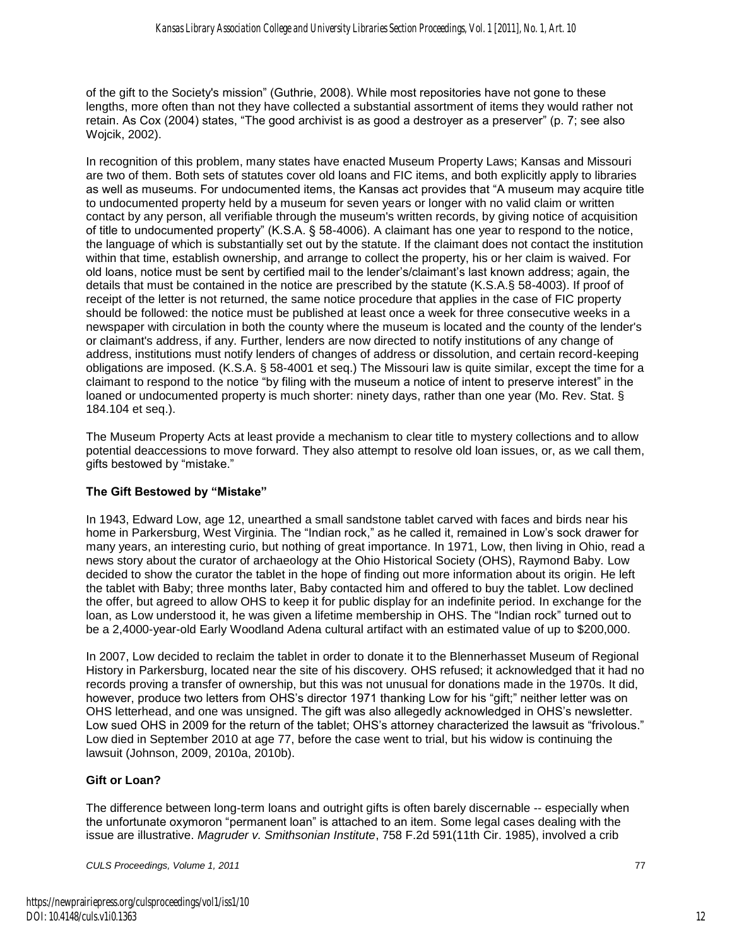of the gift to the Society's mission" (Guthrie, 2008). While most repositories have not gone to these lengths, more often than not they have collected a substantial assortment of items they would rather not retain. As Cox (2004) states, "The good archivist is as good a destroyer as a preserver" (p. 7; see also Wojcik, 2002).

In recognition of this problem, many states have enacted Museum Property Laws; Kansas and Missouri are two of them. Both sets of statutes cover old loans and FIC items, and both explicitly apply to libraries as well as museums. For undocumented items, the Kansas act provides that "A museum may acquire title to undocumented property held by a museum for seven years or longer with no valid claim or written contact by any person, all verifiable through the museum's written records, by giving notice of acquisition of title to undocumented property" (K.S.A. § 58-4006). A claimant has one year to respond to the notice, the language of which is substantially set out by the statute. If the claimant does not contact the institution within that time, establish ownership, and arrange to collect the property, his or her claim is waived. For old loans, notice must be sent by certified mail to the lender's/claimant's last known address; again, the details that must be contained in the notice are prescribed by the statute (K.S.A.§ 58-4003). If proof of receipt of the letter is not returned, the same notice procedure that applies in the case of FIC property should be followed: the notice must be published at least once a week for three consecutive weeks in a newspaper with circulation in both the county where the museum is located and the county of the lender's or claimant's address, if any. Further, lenders are now directed to notify institutions of any change of address, institutions must notify lenders of changes of address or dissolution, and certain record-keeping obligations are imposed. (K.S.A. § 58-4001 et seq.) The Missouri law is quite similar, except the time for a claimant to respond to the notice "by filing with the museum a notice of intent to preserve interest" in the loaned or undocumented property is much shorter: ninety days, rather than one year (Mo. Rev. Stat. § 184.104 et seq.).

The Museum Property Acts at least provide a mechanism to clear title to mystery collections and to allow potential deaccessions to move forward. They also attempt to resolve old loan issues, or, as we call them, gifts bestowed by "mistake."

#### **The Gift Bestowed by "Mistake"**

In 1943, Edward Low, age 12, unearthed a small sandstone tablet carved with faces and birds near his home in Parkersburg, West Virginia. The "Indian rock," as he called it, remained in Low's sock drawer for many years, an interesting curio, but nothing of great importance. In 1971, Low, then living in Ohio, read a news story about the curator of archaeology at the Ohio Historical Society (OHS), Raymond Baby. Low decided to show the curator the tablet in the hope of finding out more information about its origin. He left the tablet with Baby; three months later, Baby contacted him and offered to buy the tablet. Low declined the offer, but agreed to allow OHS to keep it for public display for an indefinite period. In exchange for the loan, as Low understood it, he was given a lifetime membership in OHS. The "Indian rock" turned out to be a 2,4000-year-old Early Woodland Adena cultural artifact with an estimated value of up to \$200,000.

In 2007, Low decided to reclaim the tablet in order to donate it to the Blennerhasset Museum of Regional History in Parkersburg, located near the site of his discovery. OHS refused; it acknowledged that it had no records proving a transfer of ownership, but this was not unusual for donations made in the 1970s. It did, however, produce two letters from OHS's director 1971 thanking Low for his "gift;" neither letter was on OHS letterhead, and one was unsigned. The gift was also allegedly acknowledged in OHS's newsletter. Low sued OHS in 2009 for the return of the tablet; OHS's attorney characterized the lawsuit as "frivolous." Low died in September 2010 at age 77, before the case went to trial, but his widow is continuing the lawsuit (Johnson, 2009, 2010a, 2010b).

### **Gift or Loan?**

The difference between long-term loans and outright gifts is often barely discernable -- especially when the unfortunate oxymoron "permanent loan" is attached to an item. Some legal cases dealing with the issue are illustrative. *Magruder v. Smithsonian Institute*, 758 F.2d 591(11th Cir. 1985), involved a crib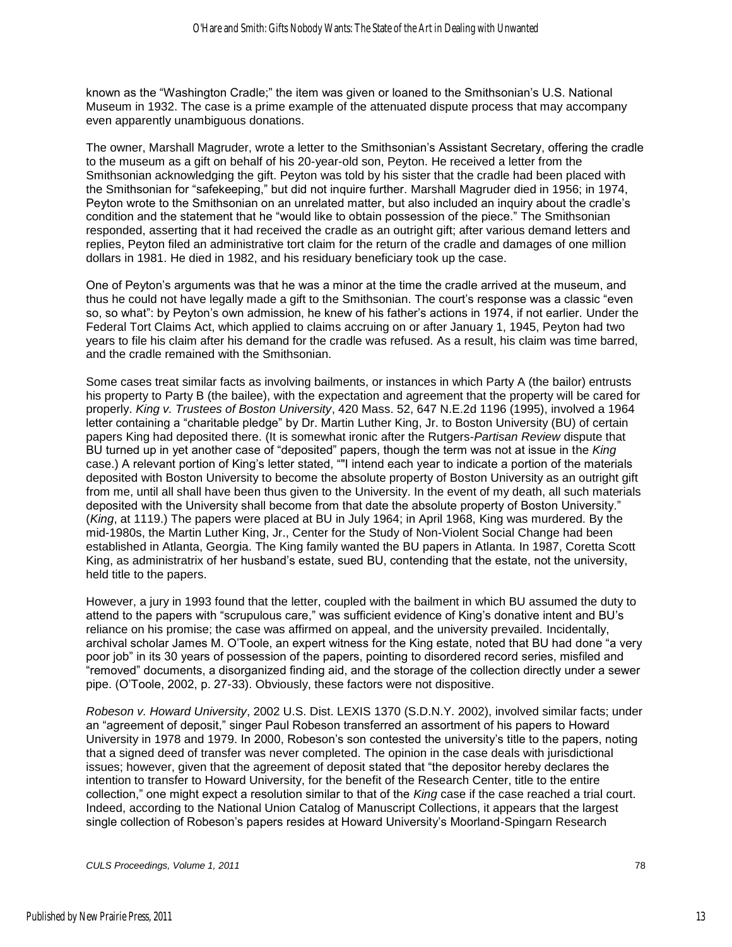known as the "Washington Cradle;" the item was given or loaned to the Smithsonian's U.S. National Museum in 1932. The case is a prime example of the attenuated dispute process that may accompany even apparently unambiguous donations.

The owner, Marshall Magruder, wrote a letter to the Smithsonian's Assistant Secretary, offering the cradle to the museum as a gift on behalf of his 20-year-old son, Peyton. He received a letter from the Smithsonian acknowledging the gift. Peyton was told by his sister that the cradle had been placed with the Smithsonian for "safekeeping," but did not inquire further. Marshall Magruder died in 1956; in 1974, Peyton wrote to the Smithsonian on an unrelated matter, but also included an inquiry about the cradle's condition and the statement that he "would like to obtain possession of the piece." The Smithsonian responded, asserting that it had received the cradle as an outright gift; after various demand letters and replies, Peyton filed an administrative tort claim for the return of the cradle and damages of one million dollars in 1981. He died in 1982, and his residuary beneficiary took up the case.

One of Peyton's arguments was that he was a minor at the time the cradle arrived at the museum, and thus he could not have legally made a gift to the Smithsonian. The court's response was a classic "even so, so what": by Peyton's own admission, he knew of his father's actions in 1974, if not earlier. Under the Federal Tort Claims Act, which applied to claims accruing on or after January 1, 1945, Peyton had two years to file his claim after his demand for the cradle was refused. As a result, his claim was time barred, and the cradle remained with the Smithsonian.

Some cases treat similar facts as involving bailments, or instances in which Party A (the bailor) entrusts his property to Party B (the bailee), with the expectation and agreement that the property will be cared for properly. *King v. Trustees of Boston University*, 420 Mass. 52, 647 N.E.2d 1196 (1995), involved a 1964 letter containing a "charitable pledge" by Dr. Martin Luther King, Jr. to Boston University (BU) of certain papers King had deposited there. (It is somewhat ironic after the Rutgers-*Partisan Review* dispute that BU turned up in yet another case of "deposited" papers, though the term was not at issue in the *King* case.) A relevant portion of King's letter stated, "I intend each year to indicate a portion of the materials deposited with Boston University to become the absolute property of Boston University as an outright gift from me, until all shall have been thus given to the University. In the event of my death, all such materials deposited with the University shall become from that date the absolute property of Boston University." (*King*, at 1119.) The papers were placed at BU in July 1964; in April 1968, King was murdered. By the mid-1980s, the Martin Luther King, Jr., Center for the Study of Non-Violent Social Change had been established in Atlanta, Georgia. The King family wanted the BU papers in Atlanta. In 1987, Coretta Scott King, as administratrix of her husband's estate, sued BU, contending that the estate, not the university, held title to the papers.

However, a jury in 1993 found that the letter, coupled with the bailment in which BU assumed the duty to attend to the papers with "scrupulous care," was sufficient evidence of King's donative intent and BU's reliance on his promise; the case was affirmed on appeal, and the university prevailed. Incidentally, archival scholar James M. O'Toole, an expert witness for the King estate, noted that BU had done "a very poor job" in its 30 years of possession of the papers, pointing to disordered record series, misfiled and ―removed‖ documents, a disorganized finding aid, and the storage of the collection directly under a sewer pipe. (O'Toole, 2002, p. 27-33). Obviously, these factors were not dispositive.

*Robeson v. Howard University*, 2002 U.S. Dist. LEXIS 1370 (S.D.N.Y. 2002), involved similar facts; under an "agreement of deposit," singer Paul Robeson transferred an assortment of his papers to Howard University in 1978 and 1979. In 2000, Robeson's son contested the university's title to the papers, noting that a signed deed of transfer was never completed. The opinion in the case deals with jurisdictional issues; however, given that the agreement of deposit stated that "the depositor hereby declares the intention to transfer to Howard University, for the benefit of the Research Center, title to the entire collection," one might expect a resolution similar to that of the *King* case if the case reached a trial court. Indeed, according to the National Union Catalog of Manuscript Collections, it appears that the largest single collection of Robeson's papers resides at Howard University's Moorland-Spingarn Research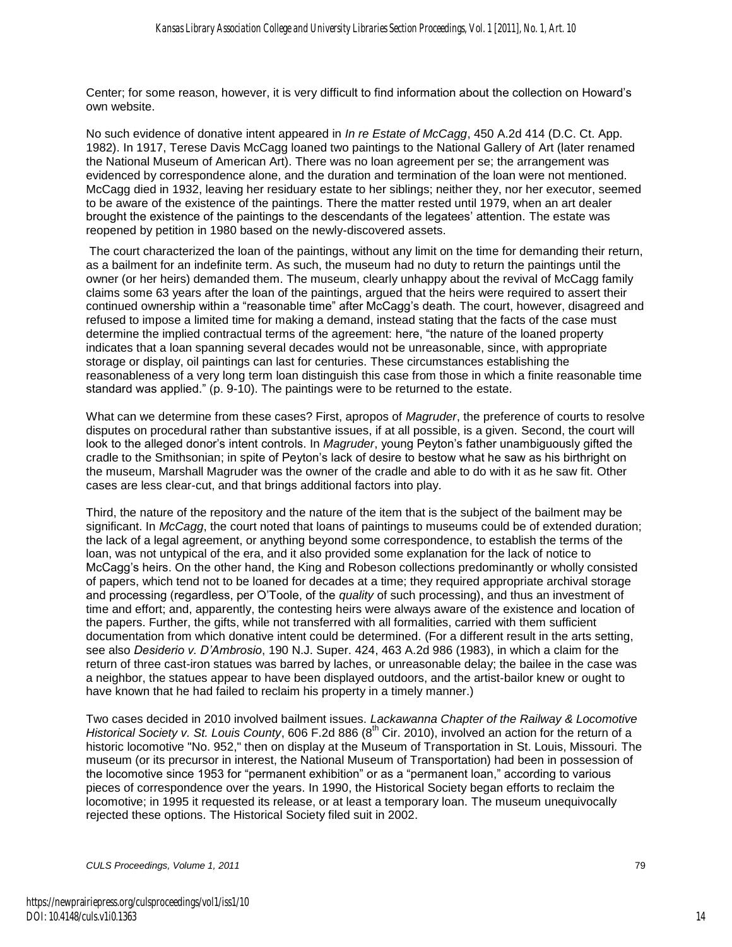Center; for some reason, however, it is very difficult to find information about the collection on Howard's own website.

No such evidence of donative intent appeared in *In re Estate of McCagg*, 450 A.2d 414 (D.C. Ct. App. 1982). In 1917, Terese Davis McCagg loaned two paintings to the National Gallery of Art (later renamed the National Museum of American Art). There was no loan agreement per se; the arrangement was evidenced by correspondence alone, and the duration and termination of the loan were not mentioned. McCagg died in 1932, leaving her residuary estate to her siblings; neither they, nor her executor, seemed to be aware of the existence of the paintings. There the matter rested until 1979, when an art dealer brought the existence of the paintings to the descendants of the legatees' attention. The estate was reopened by petition in 1980 based on the newly-discovered assets.

 The court characterized the loan of the paintings, without any limit on the time for demanding their return, as a bailment for an indefinite term. As such, the museum had no duty to return the paintings until the owner (or her heirs) demanded them. The museum, clearly unhappy about the revival of McCagg family claims some 63 years after the loan of the paintings, argued that the heirs were required to assert their continued ownership within a "reasonable time" after McCagg's death. The court, however, disagreed and refused to impose a limited time for making a demand, instead stating that the facts of the case must determine the implied contractual terms of the agreement: here, "the nature of the loaned property indicates that a loan spanning several decades would not be unreasonable, since, with appropriate storage or display, oil paintings can last for centuries. These circumstances establishing the reasonableness of a very long term loan distinguish this case from those in which a finite reasonable time standard was applied." (p. 9-10). The paintings were to be returned to the estate.

What can we determine from these cases? First, apropos of *Magruder*, the preference of courts to resolve disputes on procedural rather than substantive issues, if at all possible, is a given. Second, the court will look to the alleged donor's intent controls. In *Magruder*, young Peyton's father unambiguously gifted the cradle to the Smithsonian; in spite of Peyton's lack of desire to bestow what he saw as his birthright on the museum, Marshall Magruder was the owner of the cradle and able to do with it as he saw fit. Other cases are less clear-cut, and that brings additional factors into play.

Third, the nature of the repository and the nature of the item that is the subject of the bailment may be significant. In *McCagg*, the court noted that loans of paintings to museums could be of extended duration; the lack of a legal agreement, or anything beyond some correspondence, to establish the terms of the loan, was not untypical of the era, and it also provided some explanation for the lack of notice to McCagg's heirs. On the other hand, the King and Robeson collections predominantly or wholly consisted of papers, which tend not to be loaned for decades at a time; they required appropriate archival storage and processing (regardless, per O'Toole, of the *quality* of such processing), and thus an investment of time and effort; and, apparently, the contesting heirs were always aware of the existence and location of the papers. Further, the gifts, while not transferred with all formalities, carried with them sufficient documentation from which donative intent could be determined. (For a different result in the arts setting, see also *Desiderio v. D'Ambrosio*, 190 N.J. Super. 424, 463 A.2d 986 (1983), in which a claim for the return of three cast-iron statues was barred by laches, or unreasonable delay; the bailee in the case was a neighbor, the statues appear to have been displayed outdoors, and the artist-bailor knew or ought to have known that he had failed to reclaim his property in a timely manner.)

Two cases decided in 2010 involved bailment issues. *Lackawanna Chapter of the Railway & Locomotive Historical Society v. St. Louis County*, 606 F.2d 886 (8<sup>th</sup> Cir. 2010), involved an action for the return of a historic locomotive "No. 952," then on display at the Museum of Transportation in St. Louis, Missouri. The museum (or its precursor in interest, the National Museum of Transportation) had been in possession of the locomotive since 1953 for "permanent exhibition" or as a "permanent loan," according to various pieces of correspondence over the years. In 1990, the Historical Society began efforts to reclaim the locomotive; in 1995 it requested its release, or at least a temporary loan. The museum unequivocally rejected these options. The Historical Society filed suit in 2002.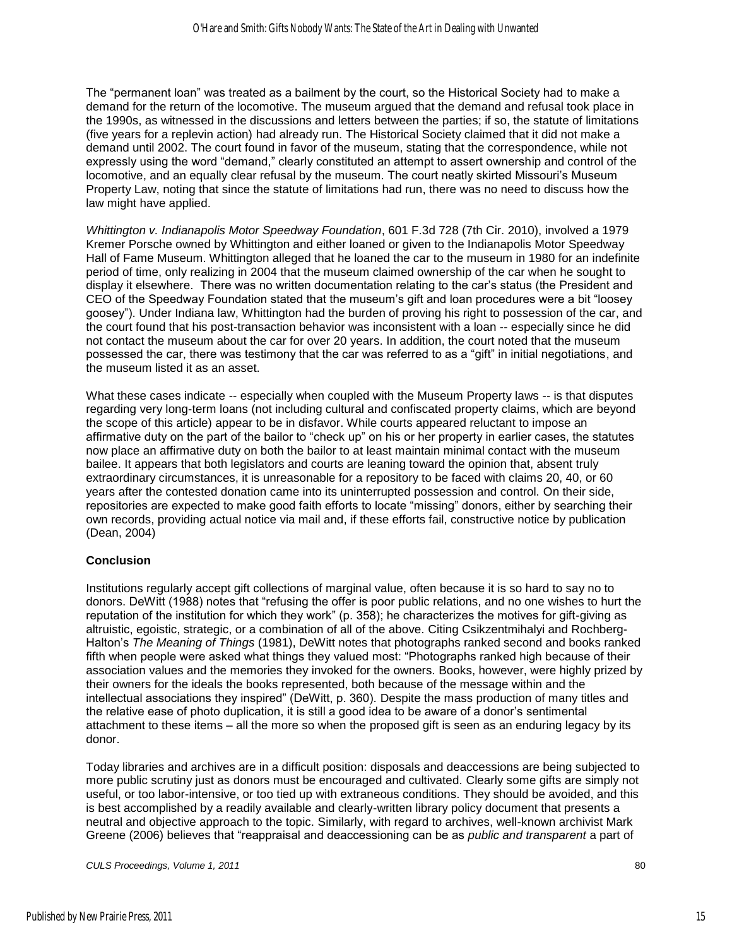The "permanent loan" was treated as a bailment by the court, so the Historical Society had to make a demand for the return of the locomotive. The museum argued that the demand and refusal took place in the 1990s, as witnessed in the discussions and letters between the parties; if so, the statute of limitations (five years for a replevin action) had already run. The Historical Society claimed that it did not make a demand until 2002. The court found in favor of the museum, stating that the correspondence, while not expressly using the word "demand," clearly constituted an attempt to assert ownership and control of the locomotive, and an equally clear refusal by the museum. The court neatly skirted Missouri's Museum Property Law, noting that since the statute of limitations had run, there was no need to discuss how the law might have applied.

*Whittington v. Indianapolis Motor Speedway Foundation*, 601 F.3d 728 (7th Cir. 2010), involved a 1979 Kremer Porsche owned by Whittington and either loaned or given to the Indianapolis Motor Speedway Hall of Fame Museum. Whittington alleged that he loaned the car to the museum in 1980 for an indefinite period of time, only realizing in 2004 that the museum claimed ownership of the car when he sought to display it elsewhere. There was no written documentation relating to the car's status (the President and CEO of the Speedway Foundation stated that the museum's gift and loan procedures were a bit "loosey" goosey"). Under Indiana law, Whittington had the burden of proving his right to possession of the car, and the court found that his post-transaction behavior was inconsistent with a loan -- especially since he did not contact the museum about the car for over 20 years. In addition, the court noted that the museum possessed the car, there was testimony that the car was referred to as a "gift" in initial negotiations, and the museum listed it as an asset.

What these cases indicate -- especially when coupled with the Museum Property laws -- is that disputes regarding very long-term loans (not including cultural and confiscated property claims, which are beyond the scope of this article) appear to be in disfavor. While courts appeared reluctant to impose an affirmative duty on the part of the bailor to "check up" on his or her property in earlier cases, the statutes now place an affirmative duty on both the bailor to at least maintain minimal contact with the museum bailee. It appears that both legislators and courts are leaning toward the opinion that, absent truly extraordinary circumstances, it is unreasonable for a repository to be faced with claims 20, 40, or 60 years after the contested donation came into its uninterrupted possession and control. On their side, repositories are expected to make good faith efforts to locate "missing" donors, either by searching their own records, providing actual notice via mail and, if these efforts fail, constructive notice by publication (Dean, 2004)

#### **Conclusion**

Institutions regularly accept gift collections of marginal value, often because it is so hard to say no to donors. DeWitt (1988) notes that "refusing the offer is poor public relations, and no one wishes to hurt the reputation of the institution for which they work" (p. 358); he characterizes the motives for gift-giving as altruistic, egoistic, strategic, or a combination of all of the above. Citing Csikzentmihalyi and Rochberg-Halton's *The Meaning of Things* (1981), DeWitt notes that photographs ranked second and books ranked fifth when people were asked what things they valued most: "Photographs ranked high because of their association values and the memories they invoked for the owners. Books, however, were highly prized by their owners for the ideals the books represented, both because of the message within and the intellectual associations they inspired" (DeWitt, p. 360). Despite the mass production of many titles and the relative ease of photo duplication, it is still a good idea to be aware of a donor's sentimental attachment to these items – all the more so when the proposed gift is seen as an enduring legacy by its donor.

Today libraries and archives are in a difficult position: disposals and deaccessions are being subjected to more public scrutiny just as donors must be encouraged and cultivated. Clearly some gifts are simply not useful, or too labor-intensive, or too tied up with extraneous conditions. They should be avoided, and this is best accomplished by a readily available and clearly-written library policy document that presents a neutral and objective approach to the topic. Similarly, with regard to archives, well-known archivist Mark Greene (2006) believes that "reappraisal and deaccessioning can be as *public and transparent* a part of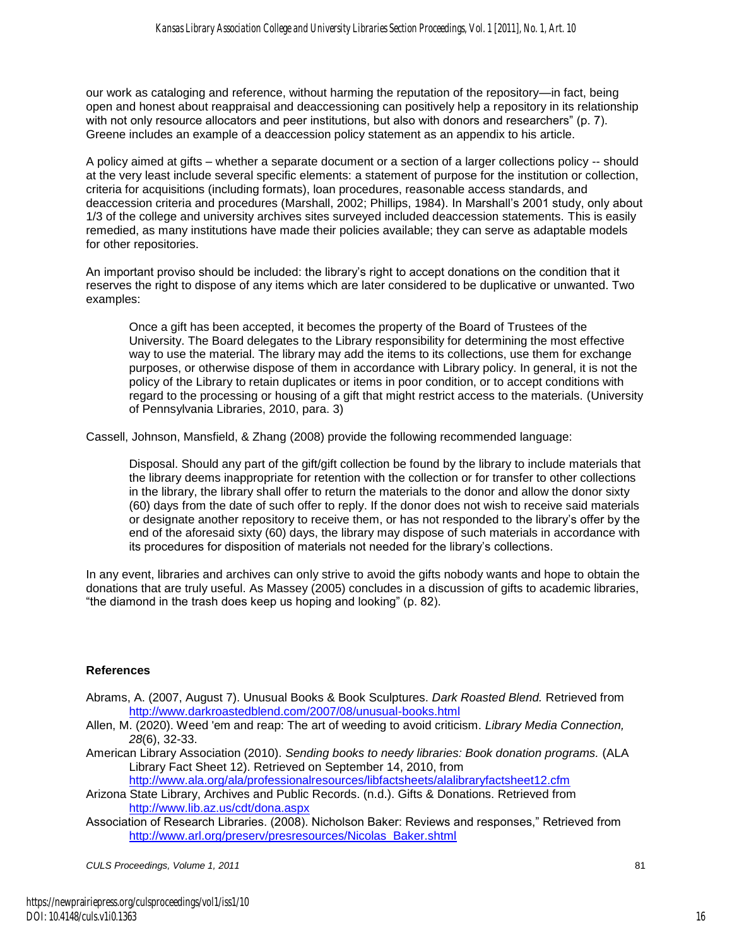our work as cataloging and reference, without harming the reputation of the repository—in fact, being open and honest about reappraisal and deaccessioning can positively help a repository in its relationship with not only resource allocators and peer institutions, but also with donors and researchers" (p. 7). Greene includes an example of a deaccession policy statement as an appendix to his article.

A policy aimed at gifts – whether a separate document or a section of a larger collections policy -- should at the very least include several specific elements: a statement of purpose for the institution or collection, criteria for acquisitions (including formats), loan procedures, reasonable access standards, and deaccession criteria and procedures (Marshall, 2002; Phillips, 1984). In Marshall's 2001 study, only about 1/3 of the college and university archives sites surveyed included deaccession statements. This is easily remedied, as many institutions have made their policies available; they can serve as adaptable models for other repositories.

An important proviso should be included: the library's right to accept donations on the condition that it reserves the right to dispose of any items which are later considered to be duplicative or unwanted. Two examples:

Once a gift has been accepted, it becomes the property of the Board of Trustees of the University. The Board delegates to the Library responsibility for determining the most effective way to use the material. The library may add the items to its collections, use them for exchange purposes, or otherwise dispose of them in accordance with Library policy. In general, it is not the policy of the Library to retain duplicates or items in poor condition, or to accept conditions with regard to the processing or housing of a gift that might restrict access to the materials. (University of Pennsylvania Libraries, 2010, para. 3)

Cassell, Johnson, Mansfield, & Zhang (2008) provide the following recommended language:

Disposal. Should any part of the gift/gift collection be found by the library to include materials that the library deems inappropriate for retention with the collection or for transfer to other collections in the library, the library shall offer to return the materials to the donor and allow the donor sixty (60) days from the date of such offer to reply. If the donor does not wish to receive said materials or designate another repository to receive them, or has not responded to the library's offer by the end of the aforesaid sixty (60) days, the library may dispose of such materials in accordance with its procedures for disposition of materials not needed for the library's collections.

In any event, libraries and archives can only strive to avoid the gifts nobody wants and hope to obtain the donations that are truly useful. As Massey (2005) concludes in a discussion of gifts to academic libraries, "the diamond in the trash does keep us hoping and looking" (p. 82).

#### **References**

- Abrams, A. (2007, August 7). Unusual Books & Book Sculptures. *Dark Roasted Blend.* Retrieved from <http://www.darkroastedblend.com/2007/08/unusual-books.html>
- Allen, M. (2020). Weed 'em and reap: The art of weeding to avoid criticism. *Library Media Connection, 28*(6), 32-33.
- American Library Association (2010). *Sending books to needy libraries: Book donation programs.* (ALA Library Fact Sheet 12). Retrieved on September 14, 2010, from <http://www.ala.org/ala/professionalresources/libfactsheets/alalibraryfactsheet12.cfm>

Arizona State Library, Archives and Public Records. (n.d.). Gifts & Donations. Retrieved from <http://www.lib.az.us/cdt/dona.aspx>

Association of Research Libraries. (2008). Nicholson Baker: Reviews and responses," Retrieved from [http://www.arl.org/preserv/presresources/Nicolas\\_Baker.shtml](http://www.arl.org/preserv/presresources/Nicolas_Baker.shtml)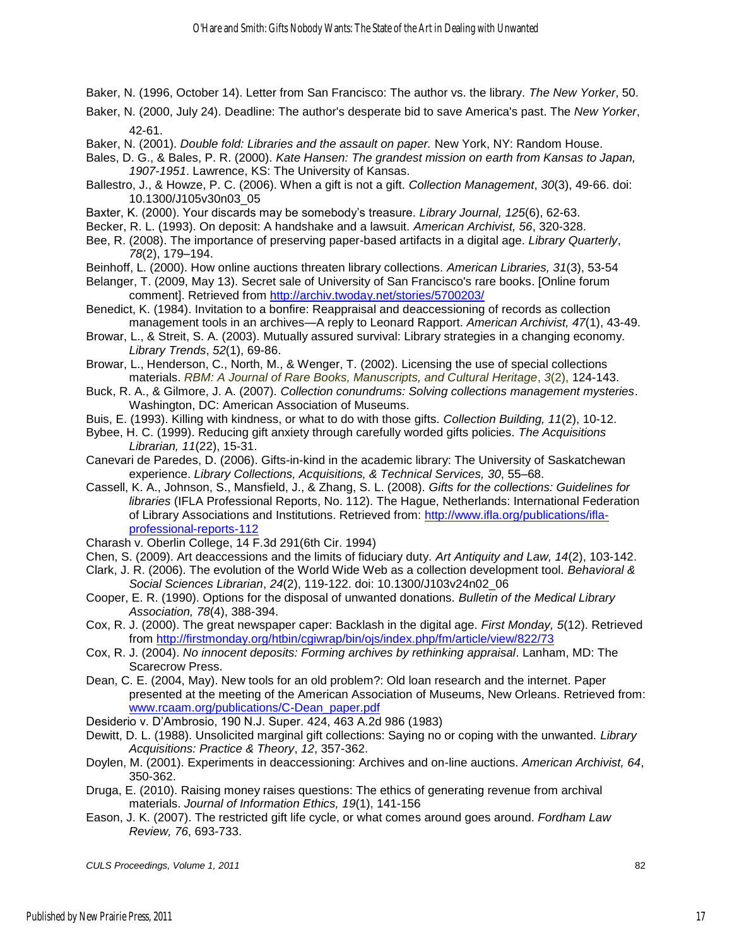Baker, N. (1996, October 14). Letter from San Francisco: The author vs. the library. *The New Yorker*, 50.

Baker, N. (2000, July 24). Deadline: The author's desperate bid to save America's past. The *New Yorker*, 42-61.

Baker, N. (2001). *Double fold: Libraries and the assault on paper.* New York, NY: Random House.

Bales, D. G., & Bales, P. R. (2000). *Kate Hansen: The grandest mission on earth from Kansas to Japan, 1907-1951*. Lawrence, KS: The University of Kansas.

Ballestro, J., & Howze, P. C. (2006). When a gift is not a gift. *Collection Management*, *30*(3), 49-66. doi: 10.1300/J105v30n03\_05

Baxter, K. (2000). Your discards may be somebody's treasure. *Library Journal, 125*(6), 62-63.

Becker, R. L. (1993). On deposit: A handshake and a lawsuit. *American Archivist, 56*, 320-328.

Bee, R. (2008). The importance of preserving paper-based artifacts in a digital age. *Library Quarterly*, *78*(2), 179–194.

Beinhoff, L. (2000). How online auctions threaten library collections. *American Libraries, 31*(3), 53-54

Belanger, T. (2009, May 13). [Secret sale of University of San Francisco's rare books.](http://archiv.twoday.net/stories/5700203/) [Online forum comment]. Retrieved from<http://archiv.twoday.net/stories/5700203/>

Benedict, K. (1984). Invitation to a bonfire: Reappraisal and deaccessioning of records as collection management tools in an archives—A reply to Leonard Rapport. *American Archivist, 47*(1), 43-49.

Browar, L., & Streit, S. A. (2003). Mutually assured survival: Library strategies in a changing economy. *Library Trends*, *52*(1), 69-86.

Browar, L., Henderson, C., North, M., & Wenger, T. (2002). Licensing the use of special collections materials. *RBM: A Journal of Rare Books, Manuscripts, and Cultural Heritage*, *3*(2), 124-143.

Buck, R. A., & Gilmore, J. A. (2007). *Collection conundrums: Solving collections management mysteries*. Washington, DC: American Association of Museums.

Buis, E. (1993). Killing with kindness, or what to do with those gifts. *Collection Building, 11*(2), 10-12.

Bybee, H. C. (1999). Reducing gift anxiety through carefully worded gifts policies. *The Acquisitions Librarian, 11*(22), 15-31.

Canevari de Paredes, D. (2006). Gifts-in-kind in the academic library: The University of Saskatchewan experience. *Library Collections, Acquisitions, & Technical Services, 30*, 55–68.

Cassell, K. A., Johnson, S., Mansfield, J., & Zhang, S. L. (2008). *Gifts for the collections: Guidelines for libraries* (IFLA Professional Reports, No. 112). The Hague, Netherlands: International Federation of Library Associations and Institutions. Retrieved from: [http://www.ifla.org/publications/ifla](http://www.ifla.org/publications/ifla-professional-reports-112)[professional-reports-112](http://www.ifla.org/publications/ifla-professional-reports-112) 

Charash v. Oberlin College, 14 F.3d 291(6th Cir. 1994)

Chen, S. (2009). Art deaccessions and the limits of fiduciary duty. *Art Antiquity and Law, 14*(2), 103-142.

Clark, J. R. (2006). The evolution of the World Wide Web as a collection development tool. *Behavioral & Social Sciences Librarian*, *24*(2), 119-122. doi: 10.1300/J103v24n02\_06

Cooper, E. R. (1990). Options for the disposal of unwanted donations. *Bulletin of the Medical Library Association, 78*(4), 388-394.

Cox, R. J. (2000). The great newspaper caper: Backlash in the digital age. *First Monday, 5*(12). Retrieved from<http://firstmonday.org/htbin/cgiwrap/bin/ojs/index.php/fm/article/view/822/73>

Cox, R. J. (2004). *No innocent deposits: Forming archives by rethinking appraisal*. Lanham, MD: The Scarecrow Press.

Dean, C. E. (2004, May). New tools for an old problem?: Old loan research and the internet. Paper presented at the meeting of the American Association of Museums, New Orleans. Retrieved from: [www.rcaam.org/publications/C-Dean\\_paper.pdf](http://www.rcaam.org/publications/C-Dean_paper.pdf)

Desiderio v. D'Ambrosio, 190 N.J. Super. 424, 463 A.2d 986 (1983)

Dewitt, D. L. (1988). Unsolicited marginal gift collections: Saying no or coping with the unwanted. *Library Acquisitions: Practice & Theory*, *12*, 357-362.

Doylen, M. (2001). Experiments in deaccessioning: Archives and on-line auctions. *American Archivist, 64*, 350-362.

Druga, E. (2010). Raising money raises questions: The ethics of generating revenue from archival materials. *Journal of Information Ethics, 19*(1), 141-156

Eason, J. K. (2007). The restricted gift life cycle, or what comes around goes around. *Fordham Law Review, 76*, 693-733.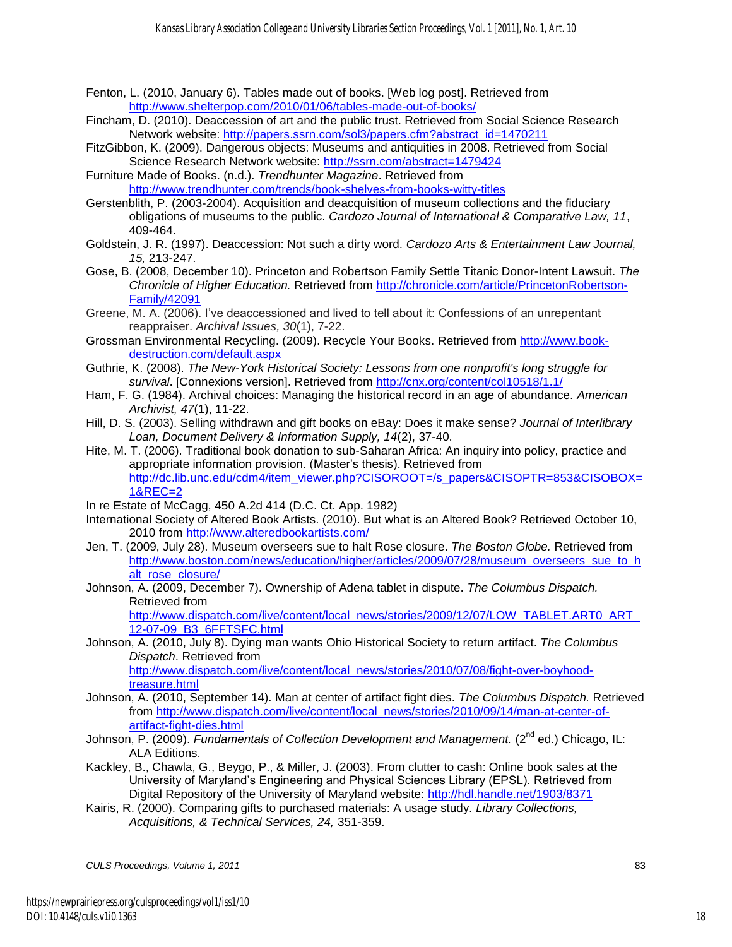- Fenton, L. (2010, January 6). Tables made out of books. [Web log post]. Retrieved from <http://www.shelterpop.com/2010/01/06/tables-made-out-of-books/>
- Fincham, D. (2010). Deaccession of art and the public trust. Retrieved from Social Science Research Network website: http://papers.ssrn.com/sol3/papers.cfm?abstract\_id=1470211
- FitzGibbon, K. (2009). Dangerous objects: Museums and antiquities in 2008. Retrieved from Social Science Research Network website:<http://ssrn.com/abstract=1479424>
- Furniture Made of Books. (n.d.). *Trendhunter Magazine*. Retrieved from <http://www.trendhunter.com/trends/book-shelves-from-books-witty-titles>
- Gerstenblith, P. (2003-2004). Acquisition and deacquisition of museum collections and the fiduciary obligations of museums to the public. *Cardozo Journal of International & Comparative Law, 11*, 409-464.
- Goldstein, J. R. (1997). Deaccession: Not such a dirty word. *Cardozo Arts & Entertainment Law Journal, 15,* 213-247.
- Gose, B. (2008, December 10). Princeton and Robertson Family Settle Titanic Donor-Intent Lawsuit. *The Chronicle of Higher Education.* Retrieved from [http://chronicle.com/article/PrincetonRobertson-](http://chronicle.com/article/PrincetonRobertson-Family/42091)[Family/42091](http://chronicle.com/article/PrincetonRobertson-Family/42091)
- Greene, M. A. (2006). I've deaccessioned and lived to tell about it: Confessions of an unrepentant reappraiser. *Archival Issues, 30*(1), 7-22.
- Grossman Environmental Recycling. (2009). Recycle Your Books. Retrieved from [http://www.book](http://www.book-destruction.com/default.aspx)[destruction.com/default.aspx](http://www.book-destruction.com/default.aspx)
- Guthrie, K. (2008). *The New-York Historical Society: Lessons from one nonprofit's long struggle for survival*. [Connexions version]. Retrieved from<http://cnx.org/content/col10518/1.1/>
- Ham, F. G. (1984). Archival choices: Managing the historical record in an age of abundance. *American Archivist, 47*(1), 11-22.
- Hill, D. S. (2003). Selling withdrawn and gift books on eBay: Does it make sense? *Journal of Interlibrary Loan, Document Delivery & Information Supply, 14*(2), 37-40.
- Hite, M. T. (2006). Traditional book donation to sub-Saharan Africa: An inquiry into policy, practice and appropriate information provision. (Master's thesis). Retrieved from [http://dc.lib.unc.edu/cdm4/item\\_viewer.php?CISOROOT=/s\\_papers&CISOPTR=853&CISOBOX=](http://dc.lib.unc.edu/cdm4/item_viewer.php?CISOROOT=/s_papers&CISOPTR=853&CISOBOX=1&REC=2) [1&REC=2](http://dc.lib.unc.edu/cdm4/item_viewer.php?CISOROOT=/s_papers&CISOPTR=853&CISOBOX=1&REC=2)
- In re Estate of McCagg, 450 A.2d 414 (D.C. Ct. App. 1982)
- International Society of Altered Book Artists. (2010). But what is an Altered Book? Retrieved October 10, 2010 from<http://www.alteredbookartists.com/>
- Jen, T. (2009, July 28). Museum overseers sue to halt Rose closure. *The Boston Globe.* Retrieved from [http://www.boston.com/news/education/higher/articles/2009/07/28/museum\\_overseers\\_sue\\_to\\_h](http://www.boston.com/news/education/higher/articles/2009/07/28/museum_overseers_sue_to_halt_rose_closure/) [alt\\_rose\\_closure/](http://www.boston.com/news/education/higher/articles/2009/07/28/museum_overseers_sue_to_halt_rose_closure/)
- Johnson, A. (2009, December 7). Ownership of Adena tablet in dispute. *The Columbus Dispatch.* Retrieved from

http://www.dispatch.com/live/content/local\_news/stories/2009/12/07/LOW\_TABLET.ART0\_ART [12-07-09\\_B3\\_6FFTSFC.html](http://www.dispatch.com/live/content/local_news/stories/2009/12/07/LOW_TABLET.ART0_ART_12-07-09_B3_6FFTSFC.html) 

- Johnson, A. (2010, July 8). Dying man wants Ohio Historical Society to return artifact. *The Columbus Dispatch*. Retrieved from [http://www.dispatch.com/live/content/local\\_news/stories/2010/07/08/fight-over-boyhood](http://www.dispatch.com/live/content/local_news/stories/2010/07/08/fight-over-boyhood-treasure.html)[treasure.html](http://www.dispatch.com/live/content/local_news/stories/2010/07/08/fight-over-boyhood-treasure.html)
- Johnson, A. (2010, September 14). Man at center of artifact fight dies. *The Columbus Dispatch.* Retrieved from [http://www.dispatch.com/live/content/local\\_news/stories/2010/09/14/man-at-center-of](http://www.dispatch.com/live/content/local_news/stories/2010/09/14/man-at-center-of-artifact-fight-dies.html)[artifact-fight-dies.html](http://www.dispatch.com/live/content/local_news/stories/2010/09/14/man-at-center-of-artifact-fight-dies.html)
- Johnson, P. (2009). *Fundamentals of Collection Development and Management.* (2<sup>nd</sup> ed.) Chicago, IL: ALA Editions.
- Kackley, B., Chawla, G., Beygo, P., & Miller, J. (2003). From clutter to cash: Online book sales at the University of Maryland's Engineering and Physical Sciences Library (EPSL). Retrieved from Digital Repository of the University of Maryland website:<http://hdl.handle.net/1903/8371>
- Kairis, R. (2000). Comparing gifts to purchased materials: A usage study. *Library Collections, Acquisitions, & Technical Services, 24,* 351-359.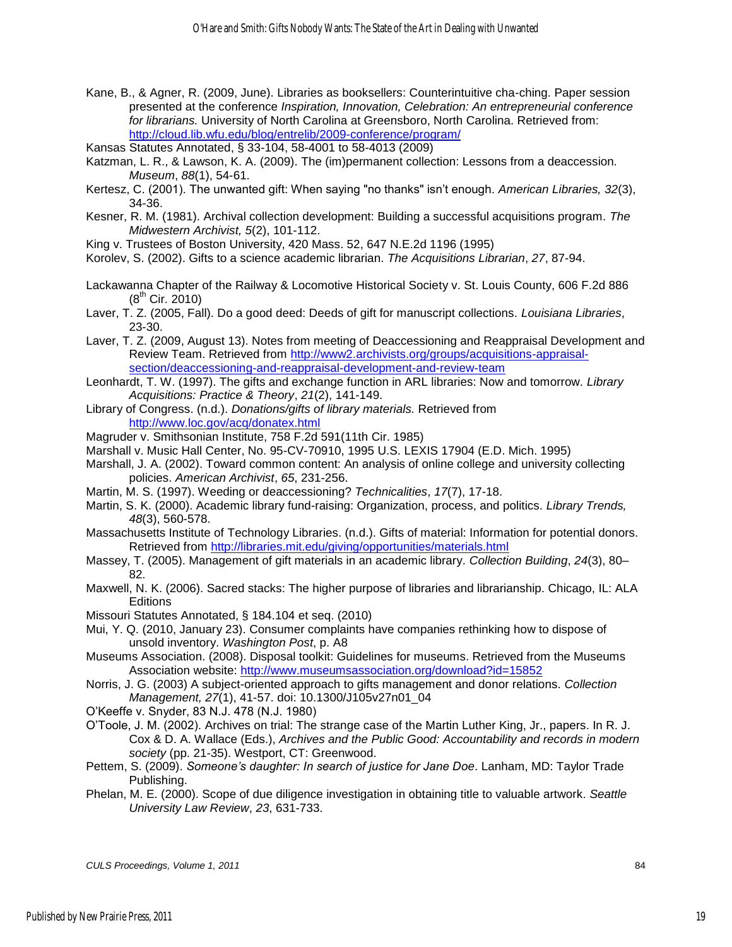- Kane, B., & Agner, R. (2009, June). Libraries as booksellers: Counterintuitive cha-ching. Paper session presented at the conference *Inspiration, Innovation, Celebration: An entrepreneurial conference for librarians.* University of North Carolina at Greensboro, North Carolina. Retrieved from: <http://cloud.lib.wfu.edu/blog/entrelib/2009-conference/program/>
- Kansas Statutes Annotated, § 33-104, 58-4001 to 58-4013 (2009)
- Katzman, L. R., & Lawson, K. A. (2009). The (im)permanent collection: Lessons from a deaccession. *Museum*, *88*(1), 54-61.
- Kertesz, C. (2001). The unwanted gift: When saying "no thanks" isn't enough. *American Libraries, 32*(3), 34-36.
- Kesner, R. M. (1981). Archival collection development: Building a successful acquisitions program. *The Midwestern Archivist, 5*(2), 101-112.
- King v. Trustees of Boston University, 420 Mass. 52, 647 N.E.2d 1196 (1995)
- Korolev, S. (2002). Gifts to a science academic librarian. *The Acquisitions Librarian*, *27*, 87-94.
- Lackawanna Chapter of the Railway & Locomotive Historical Society v. St. Louis County, 606 F.2d 886  $(8^{th}$  Cir. 2010)
- Laver, T. Z. (2005, Fall). Do a good deed: Deeds of gift for manuscript collections. *Louisiana Libraries*, 23-30.
- Laver, T. Z. (2009, August 13). Notes from meeting of Deaccessioning and Reappraisal Development and Review Team. Retrieved from [http://www2.archivists.org/groups/acquisitions-appraisal](http://www2.archivists.org/groups/acquisitions-appraisal-section/deaccessioning-and-reappraisal-development-and-review-team)[section/deaccessioning-and-reappraisal-development-and-review-team](http://www2.archivists.org/groups/acquisitions-appraisal-section/deaccessioning-and-reappraisal-development-and-review-team)
- Leonhardt, T. W. (1997). The gifts and exchange function in ARL libraries: Now and tomorrow. *Library Acquisitions: Practice & Theory*, *21*(2), 141-149.
- Library of Congress. (n.d.). *Donations/gifts of library materials.* Retrieved from <http://www.loc.gov/acq/donatex.html>
- Magruder v. Smithsonian Institute, 758 F.2d 591(11th Cir. 1985)
- Marshall v. Music Hall Center, No. 95-CV-70910, 1995 U.S. LEXIS 17904 (E.D. Mich. 1995)
- Marshall, J. A. (2002). Toward common content: An analysis of online college and university collecting policies. *American Archivist*, *65*, 231-256.
- Martin, M. S. (1997). Weeding or deaccessioning? *Technicalities*, *17*(7), 17-18.
- Martin, S. K. (2000). Academic library fund-raising: Organization, process, and politics. *Library Trends, 48*(3), 560-578.
- Massachusetts Institute of Technology Libraries. (n.d.). Gifts of material: Information for potential donors. Retrieved from<http://libraries.mit.edu/giving/opportunities/materials.html>
- Massey, T. (2005). Management of gift materials in an academic library. *Collection Building*, *24*(3), 80– 82.
- Maxwell, N. K. (2006). Sacred stacks: The higher purpose of libraries and librarianship. Chicago, IL: ALA **Editions**
- Missouri Statutes Annotated, § 184.104 et seq. (2010)
- Mui, Y. Q. (2010, January 23). Consumer complaints have companies rethinking how to dispose of unsold inventory. *Washington Post*, p. A8
- Museums Association. (2008). Disposal toolkit: Guidelines for museums. Retrieved from the Museums Association website:<http://www.museumsassociation.org/download?id=15852>
- Norris, J. G. (2003) A subject-oriented approach to gifts management and donor relations. *Collection Management, 27*(1), 41-57. doi: 10.1300/J105v27n01\_04

O'Keeffe v. Snyder, 83 N.J. 478 (N.J. 1980)

- O'Toole, J. M. (2002). Archives on trial: The strange case of the Martin Luther King, Jr., papers. In R. J. Cox & D. A. Wallace (Eds.), *Archives and the Public Good: Accountability and records in modern society* (pp. 21-35). Westport, CT: Greenwood.
- Pettem, S. (2009). *Someone's daughter: In search of justice for Jane Doe*. Lanham, MD: Taylor Trade Publishing.
- Phelan, M. E. (2000). Scope of due diligence investigation in obtaining title to valuable artwork. *Seattle University Law Review*, *23*, 631-733.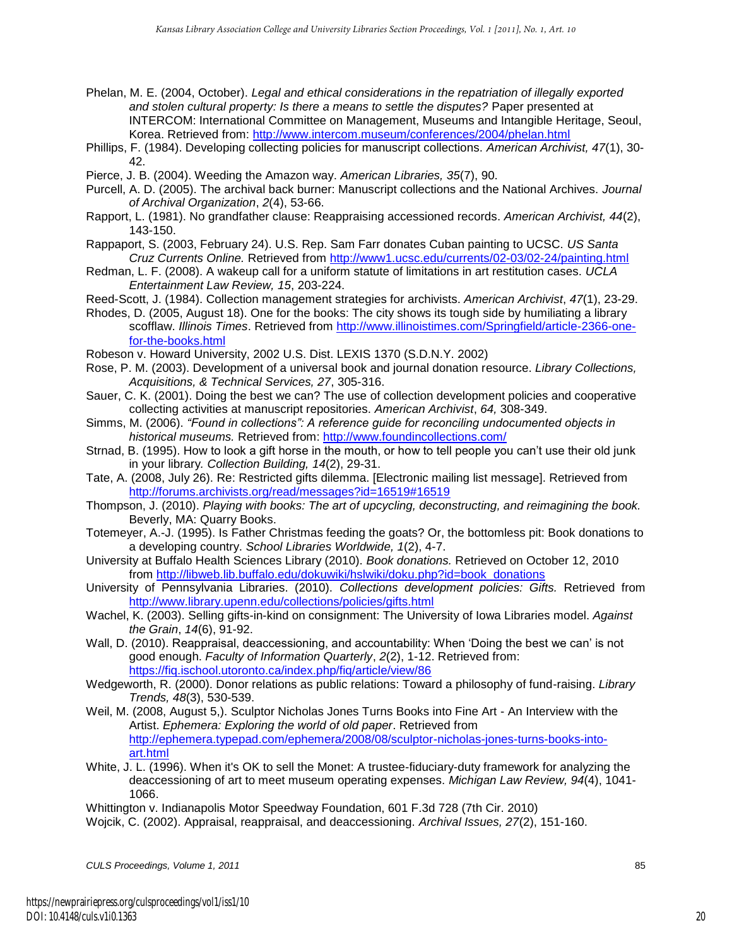- Phelan, M. E. (2004, October). *Legal and ethical considerations in the repatriation of illegally exported and stolen cultural property: Is there a means to settle the disputes?* Paper presented at INTERCOM: International Committee on Management, Museums and Intangible Heritage, Seoul, Korea. Retrieved from: http://www.intercom.museum/conferences/2004/phelan.html
- Phillips, F. (1984). Developing collecting policies for manuscript collections. *American Archivist, 47*(1), 30- 42.
- Pierce, J. B. (2004). Weeding the Amazon way. *American Libraries, 35*(7), 90.
- Purcell, A. D. (2005). The archival back burner: Manuscript collections and the National Archives. *Journal of Archival Organization*, *2*(4), 53-66.
- Rapport, L. (1981). No grandfather clause: Reappraising accessioned records. *American Archivist, 44*(2), 143-150.
- Rappaport, S. (2003, February 24). U.S. Rep. Sam Farr donates Cuban painting to UCSC. *US Santa Cruz Currents Online.* Retrieved from<http://www1.ucsc.edu/currents/02-03/02-24/painting.html>
- Redman, L. F. (2008). A wakeup call for a uniform statute of limitations in art restitution cases. *UCLA Entertainment Law Review, 15*, 203-224.
- Reed-Scott, J. (1984). Collection management strategies for archivists. *American Archivist*, *47*(1), 23-29.
- Rhodes, D. (2005, August 18). One for the books: The city shows its tough side by humiliating a library scofflaw. *Illinois Times*. Retrieved from [http://www.illinoistimes.com/Springfield/article-2366-one](http://www.illinoistimes.com/Springfield/article-2366-one-for-the-books.html)[for-the-books.html](http://www.illinoistimes.com/Springfield/article-2366-one-for-the-books.html)
- Robeson v. Howard University, 2002 U.S. Dist. LEXIS 1370 (S.D.N.Y. 2002)
- Rose, P. M. (2003). Development of a universal book and journal donation resource. *Library Collections, Acquisitions, & Technical Services, 27*, 305-316.
- Sauer, C. K. (2001). Doing the best we can? The use of collection development policies and cooperative collecting activities at manuscript repositories. *American Archivist*, *64,* 308-349.
- Simms, M. (2006). *"Found in collections": A reference guide for reconciling undocumented objects in historical museums.* Retrieved from:<http://www.foundincollections.com/>
- Strnad, B. (1995). How to look a gift horse in the mouth, or how to tell people you can't use their old junk in your library*. Collection Building, 14*(2), 29-31.
- Tate, A. (2008, July 26). Re: Restricted gifts dilemma. [Electronic mailing list message]. Retrieved from <http://forums.archivists.org/read/messages?id=16519#16519>
- Thompson, J. (2010). *Playing with books: The art of upcycling, deconstructing, and reimagining the book.* Beverly, MA: Quarry Books.
- Totemeyer, A.-J. (1995). Is Father Christmas feeding the goats? Or, the bottomless pit: Book donations to a developing country. *School Libraries Worldwide, 1*(2), 4-7.
- University at Buffalo Health Sciences Library (2010). *Book donations.* Retrieved on October 12, 2010 from [http://libweb.lib.buffalo.edu/dokuwiki/hslwiki/doku.php?id=book\\_donations](http://libweb.lib.buffalo.edu/dokuwiki/hslwiki/doku.php?id=book_donations)
- University of Pennsylvania Libraries. (2010). *Collections development policies: Gifts.* Retrieved from <http://www.library.upenn.edu/collections/policies/gifts.html>
- Wachel, K. (2003). Selling gifts-in-kind on consignment: The University of Iowa Libraries model. *Against the Grain*, *14*(6), 91-92.
- Wall, D. (2010). Reappraisal, deaccessioning, and accountability: When 'Doing the best we can' is not good enough. *Faculty of Information Quarterly*, *2*(2), 1-12. Retrieved from: <https://fiq.ischool.utoronto.ca/index.php/fiq/article/view/86>
- Wedgeworth, R. (2000). Donor relations as public relations: Toward a philosophy of fund-raising. *Library Trends, 48*(3), 530-539.
- Weil, M. (2008, August 5,). Sculptor Nicholas Jones Turns Books into Fine Art An Interview with the Artist. *Ephemera: Exploring the world of old paper*. Retrieved from [http://ephemera.typepad.com/ephemera/2008/08/sculptor-nicholas-jones-turns-books-into](http://ephemera.typepad.com/ephemera/2008/08/sculptor-nicholas-jones-turns-books-into-art.html)[art.html](http://ephemera.typepad.com/ephemera/2008/08/sculptor-nicholas-jones-turns-books-into-art.html)
- White, J. L. (1996). When it's OK to sell the Monet: A trustee-fiduciary-duty framework for analyzing the deaccessioning of art to meet museum operating expenses. *Michigan Law Review, 94*(4), 1041- 1066.

Whittington v. Indianapolis Motor Speedway Foundation, 601 F.3d 728 (7th Cir. 2010) Wojcik, C. (2002). Appraisal, reappraisal, and deaccessioning. *Archival Issues, 27*(2), 151-160.

*CULS Proceedings, Volume 1, 2011* 85

20